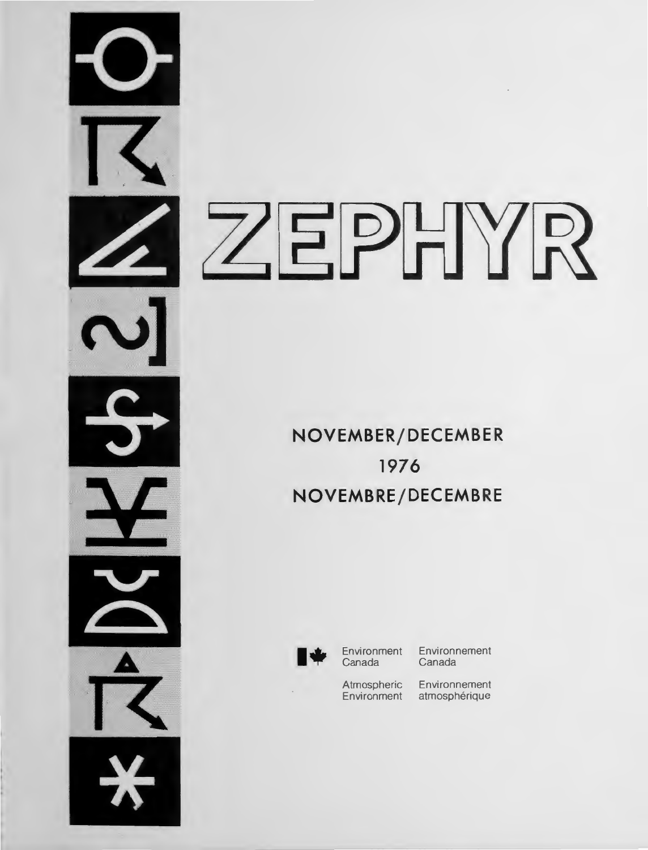# ZEPHYR

**NOVEMBER/DECEMBER 1976 NOVEMBRE/DECEMB RE** 



**Environment** Canada

Environnement Canada

Atmospheric Environnement<br>Environment atmosphérique atmosphérique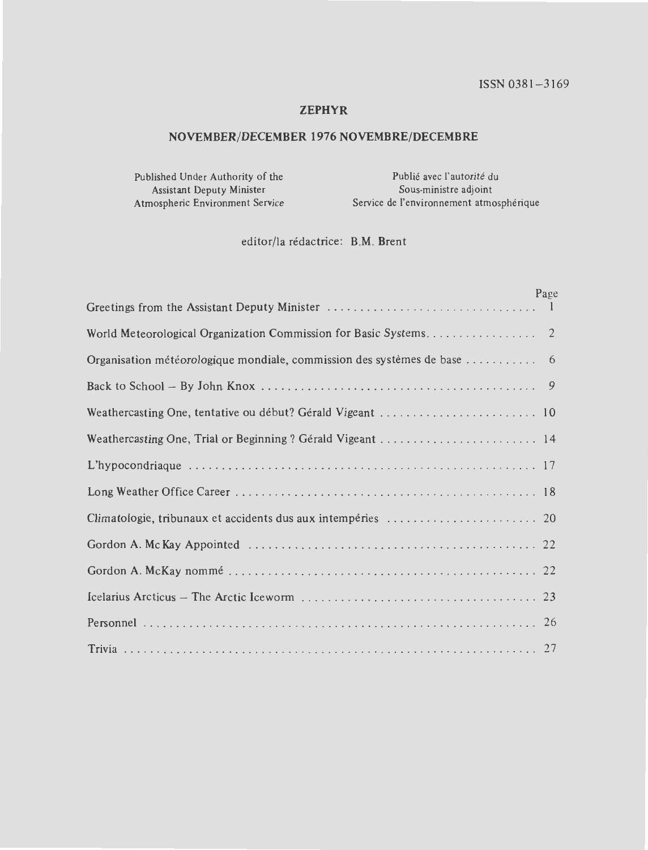# **ZEPHYR**

# **NOVEMBER/DECEMBER 1976 NOVEMBRE/DECEMBRE**

Published Under Authority of the Assistant Deputy Minister

Publié avec l'autorité du Sous-ministre adjoint Atmospheric Environment Service Service de l'environnement atmospherique

editor/la redactrice: B.M. Brent

|                                                                       | Page |
|-----------------------------------------------------------------------|------|
|                                                                       |      |
|                                                                       |      |
| Organisation météorologique mondiale, commission des systèmes de base | 6    |
|                                                                       |      |
|                                                                       |      |
|                                                                       |      |
|                                                                       |      |
|                                                                       |      |
|                                                                       |      |
|                                                                       |      |
|                                                                       |      |
|                                                                       |      |
|                                                                       |      |
|                                                                       |      |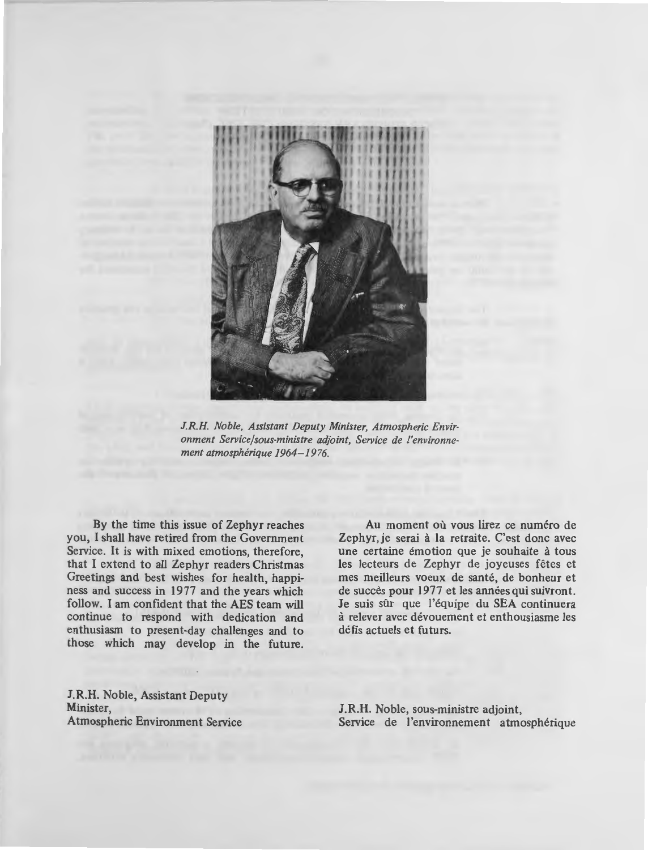

*J.R.H. Noble, Assistant Deputy Minister, Atmospheric Environment Service/sous-ministre adjoint, Service de l'environnement atmospherique 1964- 1976.* 

By the time this issue of Zephyr reaches you, I shall have retired from the Government Service. It is with mixed emotions, therefore, that I extend to all Zephyr readers Christmas Greetings and best wishes for health, happiness and success in 1977 and the years which follow. I am confident that the AES team will continue to respond with dedication and enthusiasm to present-day challenges and to those which may develop in the future.

Au moment où vous lirez ce numéro de Zephyr, je serai à la retraite. C'est donc avec une certaine émotion que je souhaite à tous les lecteurs de Zephyr de joyeuses fêtes et mes meilleurs voeux de santé, de bonheur et de succès pour 1977 et les années qui suivront. Je suis sûr que l'équipe du SEA continuera a relever avec devouement et enthousiasme les defis actuels et futurs.

**J.R.H.** Noble, Assistant Deputy Minister, Atmospheric Environment Service

**J.R.H.** Noble, sous-ministre adjoint, Service de l'environnement atmosphérique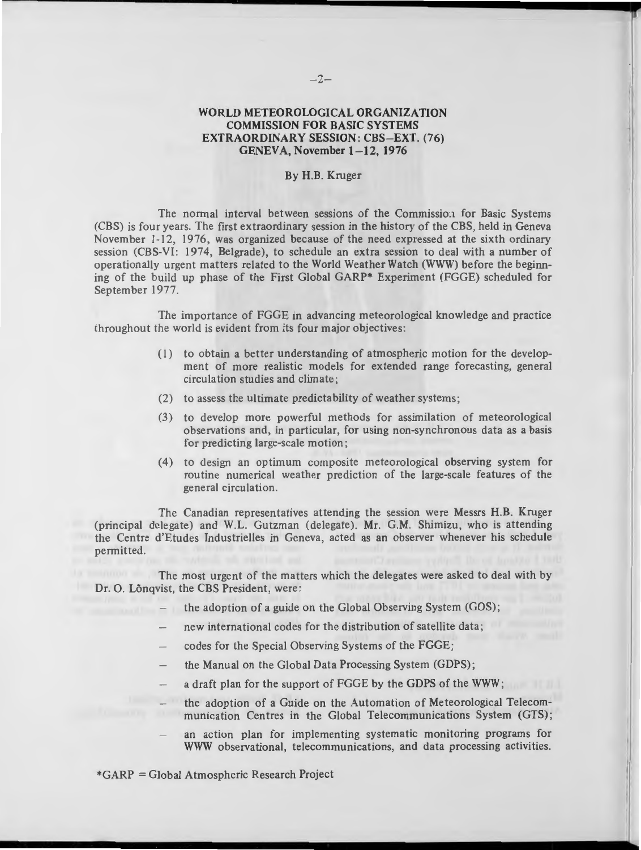# **WORLD METEOROLOGICAL ORGANIZATION COMMISSION FOR BASIC SYSTEMS EXTRAORDINARY SESSION: CBS-EXT. (76) GENEVA, November 1- 12, 1976**

#### By **H.B.** Kruger

The normal interval between sessions of the Commissio:1 for Basic Systems (CBS) is four years. The first ex traordinary session in the history of the CBS, held in Geneva November 1-12, 1976, was organized because of the need expressed at the sixth ordinary session (CBS-YI: 1974, Belgrade), to schedule an extra session to deal with a number of operationally urgent matters related to the World Weather Watch (WWW) before the beginning of the build up phase of the First Global **GARP\*** Experiment (FGGE) scheduled for September 1977.

The importance of FGGE in advancing meteorological knowledge and practice throughout the world is evident from its four major objectives:

- (1) to obtain a better understanding of atmospheric motion for the development of more realistic models for extended range forecasting, general circula tion studies and climate;
- (2) to assess the ultimate predictability of weather systems;
- (3) to develop more powerful methods for assimilation of meteorological observations and, in particular, for using non-synchronous data as a basis for predicting large-scale motion ;
- (4) to design an optimum composite meteorological observing system for routine numerical weather prediction of the large-scale features of the general circulation.

The Canadian representatives attending the session were Messrs H.B. Kruger (principal delegate) and W.L. Gutzman (delegate). Mr. G.M. Shimizu, who is attending the Centre d'Etudes lndustrielles in Geneva, acted as an observer whenever his schedule permitted.

The most urgent of the matters which the delegates were asked to deal with by Dr. O. Lõnqvist, the CBS President, were:

- the adoption of a guide on the Global Observing System (GOS);
- new international codes for the distribution of satellite data;
- codes for the Special Observing Systems of the FGGE;
- the Manual on the Global Data Processing System (GDPS);
- a draft plan for the support of FGGE by the GDPS of the **WWW;**
- the adoption of a Guide on the Automation of Meteorological Telecommunication Centres in the Global Telecommunications System (GTS) ;
- an action plan for implementing systematic monitoring programs for WWW observational, telecommunications, and data processing activities.

\*GARP = Global Atmospheric Research Project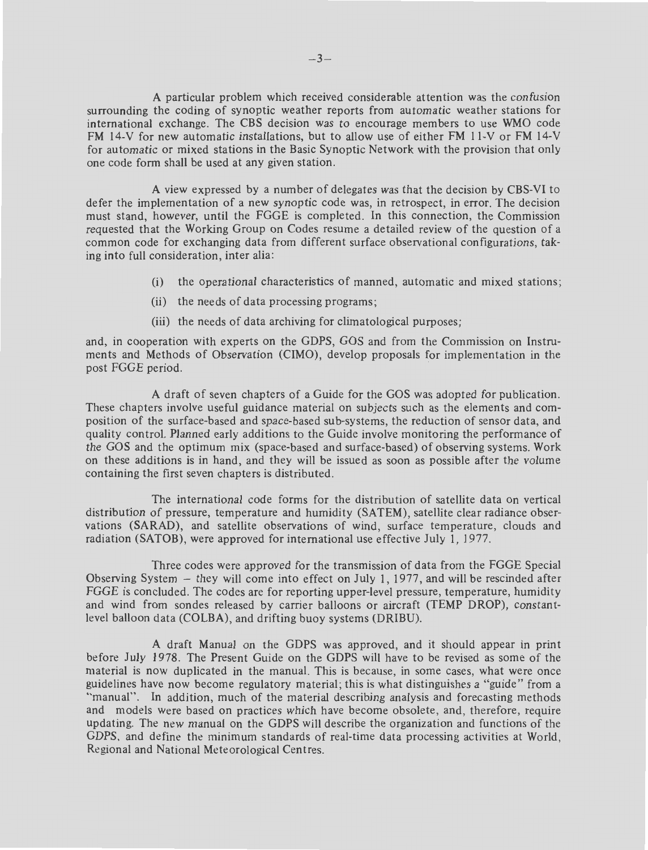A particular problem which received considerable attention was the confusion surrounding the coding of synoptic weather reports from automatic weather stations for international exchange. The CBS decision was to encourage members to use WMO code FM 14-V for new automatic installations, but to allow use of either FM 11-V or FM 14-V for automatic or mixed stations in the Basic Synoptic Network with the provision that only one code form shall be used at any given station.

A view expressed by a number of delegates was that the decision by CBS-VI to defer the implementation of a new synoptic code was, in retrospect, in error. The decision must stand, however, until the FGGE is completed. In this connection, the Commission requested that the Working Group on Codes resume a detailed review of the question of a common code for exchanging data from different surface observational configurations, taking into full consideration, inter alia:

- (i) the operational characteristics of manned, automatic and mixed stations;
- (ii) the needs of data processing programs;
- (iii) the needs of data archiving for climatological purposes;

and, in cooperation with experts on the GDPS, GOS and from the Commission on Instruments and Methods of Observation (CIMO), develop proposals for implementation in the post FGGE period.

A draft of seven chapters of a Guide for the GOS was adopted for publication. These chapters involve useful guidance material on subjects such as the elements and composition of the surface-based and space-based sub-systems, the reduction of sensor data, and quality control. Planned early additions to the Guide involve monitoring the performance of the GOS and the optimum mix (space-based and surface-based) of observing systems. Work on these additions is in hand, and they will be issued as soon as possible after the volume containing the first seven chapters is distributed.

The international code forms for the distribution of satellite data on vertical distriburion of pressure, temperature and humidity (SATEM), satellite clear radiance observations (SARAD), and satellite observations of wind, surface temperature, clouds and radiation (SATOB), were approved for international use effective July 1, 1977.

Three codes were approved for the transmission of data from the FGGE Special Observing System  $-$  they will come into effect on July 1, 1977, and will be rescinded after FGGE is concluded. The codes are for reporting upper-level pressure, temperature, humidity and wind from sondes released by carrier balloons or aircraft (TEMP DROP), constantlevel balloon data (COLBA), and drifting buoy systems (DRIBU).

A draft Manual on the GDPS was approved, and it should appear in print before July 1978. The Present Guide on the GDPS will have to be revised as some of the material is now duplicated in the manual. This is because, in some cases, what were once guidelines have now become regulatory material ; this is what distinguishes a "guide" from a "manual". In addition, much of the material describing analysis and forecasting methods and models were based on practices which have become obsolete, and, therefore, require updating. The new manual on the GDPS will describe the organization and functions of the GDPS, and define the minimum standards of real-time data processing activities at World, Regional and National Meteorological Centres.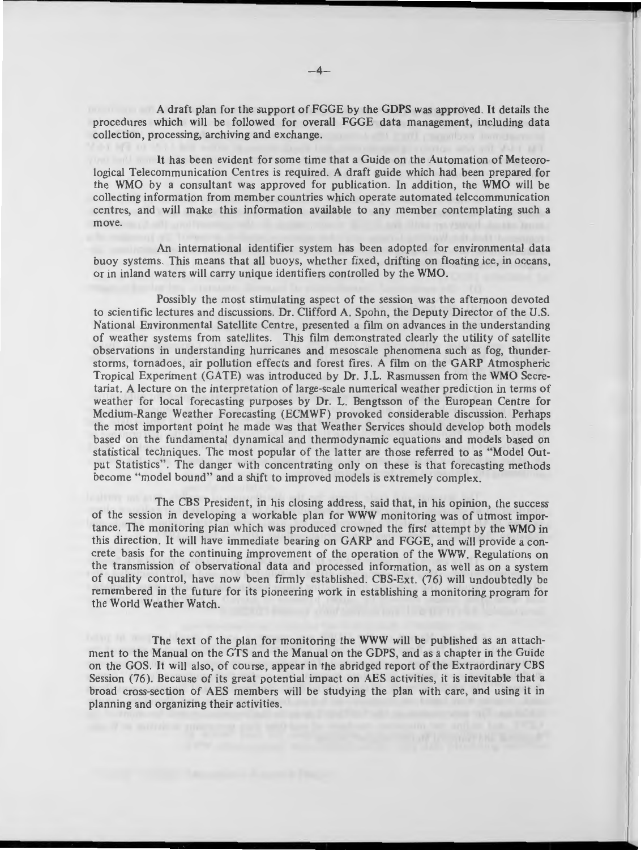A draft plan for the support of FGGE by the GDPS was approved. It details the procedures which will be followed for overall FGGE data management, including data collection, processing, archiving and exchange.

It has been evident for some time that a Guide on the Automation of Meteorological Telecommunication Centres is required. A draft guide which had been prepared for the WMO by a consultant was approved for publication . In addition, the WMO will be collecting information from member countries which operate automated telecommunication centres, and will make this information available to any member contemplating such a move.

An international identifier system has been adopted for environmental data buoy systems. This means that all buoys, whether fixed, drifting on floating ice, in oceans, or in inland waters will carry unique identifiers controlled by the WMO.

Possibly the most stimulating aspect of the session was the afternoon devoted to scientific lectures and discussions. Dr. Clifford A. Spohn, the Deputy Director of the U.S. National Environmental Satellite Centre, presented a film on advances in the understanding of weather systems from satellites. This film demonstrated clearly the utility of satellite observations in understanding hurricanes and mesoscale phenomena such as fog, thunderstorms, tornadoes, air pollution effects and forest fires. A film on the GARP Atmospheric Tropical Experiment (GATE) was introduced by Dr. J .L. Rasmussen from the WMO Secretariat. A lecture on the interpretation of large-scale numerical weather prediction in terms of weather for local forecasting purposes by Dr. L. Bengtsson of the European Centre for Medium-Range Weather Forecasting (ECMWF) provoked considerable discussion. Perhaps the most important point he made was that Weather Services should develop both models based on the fundamental dynamical and thermodynamic equations and models based on statistical techniques. The most popular of the latter are those referred to as "Model Output Statistics". The danger with concentrating only on these is that forecasting methods become "model bound" and a shift to improved models is extremely complex.

The CBS President, in his closing address, said that, in his opinion, the success of the session in developing a workable plan for WWW monitoring was of utmost importance. The monitoring plan which was produced crowned the first attempt by the WMO in this direction. It will have immediate bearing on GARP and FGGE, and will provide a concrete basis for the continuing improvement of the operation of the WWW. Regulations on the transmission of observational data and proce sed information, as well as on a system of quality control, have now been firmly established. CBS-Ext. (76) will undoubtedly be remembered in the future for its pioneering work in establishing a monitoring program for the World Weather Watch.

The text of the plan for monitoring the WWW will be published as an attachment to the Manual on the GTS and the Manual on the GDPS, and as a chapter in the Guide on the GOS. It will also, of course, appear in the abridged report of the Extraordinary CBS Session (76). Because of its great potential impact on AES activities, it is inevitable that a broad cross-section of AES members will be studying the plan with care, and using it in planning and organizing their activities.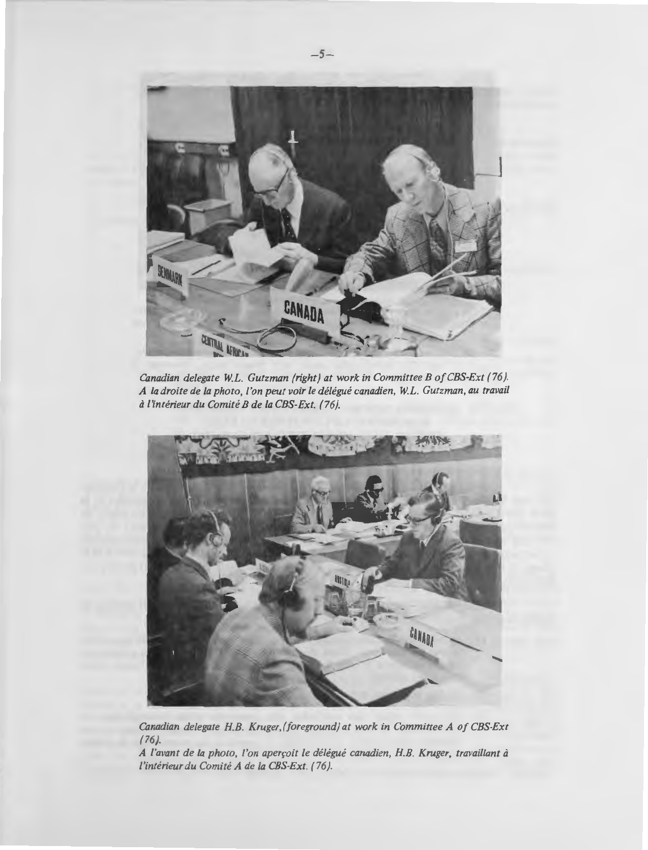

*Canadian delegate W.L. Gutzman (right) at work in Committee B of CBS-Ext (76). A la droite de la photo, !'on peut voir le delegue canadien, W.L. Gutzman, au travail d l'interieur du Comite B de la CBS-Ext. ( 76).* 



*Canadian delegate H. B. Kruger.(foreground) at work in Committee A of CBS-Ext (76).* 

**A** */'avant de la photo, /'on aperroit le delegue canadien, H.B. Kruger, travaillant d l'interieur du Comite A de la CBS-Ext. (76).*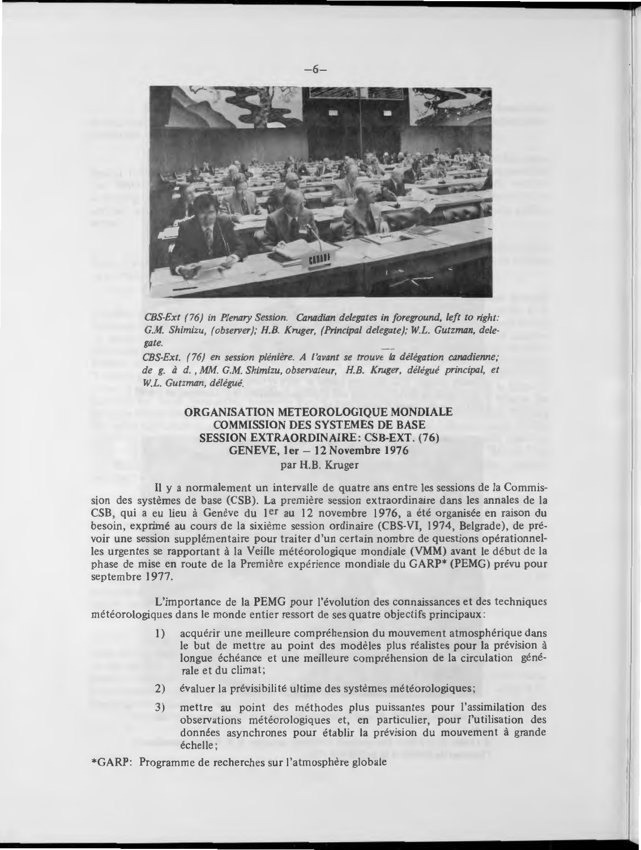

*CBS-Ext (76) in Plenary Session. Canadian delegates in foreground, left to right: G.M. Shimizu, (observer); H.B. Kruger, (Principal delegate); W.L. Gutzman, delegate.* 

*CBS-Ext. (76) en session pleniere. A /'avant se trouve* la *delegation canadienne; de g.* ti *d.* , *MM. G.M. Shimizu, observateur, H.B. Kruger, delegue principal, et W.L. Gutzman, delegue.* 

# **ORGANISATION METEOROLOGIQUE MONDIALE COMMISSION DES SYSTEMES DE BASE SESSION EXTRAORDINAIRE: CSB-EXT. (76) GENEVE, ler - 12 Novembre 1976**  par **H.B.** Kruger

II y a normalement un intervalle de quatre ans entre Jes sessions de la Commission des systèmes de base (CSB). La première session extraordinaire dans les annales de la CSB, qui a eu lieu à Genève du 1<sup>er</sup> au 12 novembre 1976, a été organisée en raison du besoin, exprimé au cours de la sixième session ordinaire (CBS-VI, 1974, Belgrade), de prévoir une session supplémentaire pour traiter d'un certain nombre de questions opérationnelles urgentes se rapportant à la Veille météorologique mondiale (VMM) avant le début de la phase de mise en route de la Premiere experience mondiale du GARP\* (PEMG) prevu pour septembre 1977.

L'importance de la PEMG pour l'évolution des connaissances et des techniques météorologiques dans le monde entier ressort de ses quatre objectifs principaux :

- 1) acquérir une meilleure compréhension du mouvement atmosphérique dans le but de mettre au point des modèles plus réalistes pour la prévision à longue échéance et une meilleure compréhension de la circulation générale et du climat;
- 2) évaluer la prévisibilité ultime des systèmes météorologiques;
- 3) mettre au point des méthodes plus puissantes pour l'assimilation des observations météorologiques et, en particulier, pour l'utilisation des données asynchrones pour établir la prévision du mouvement à grande echelle;

\*GARP: Programme de recherches sur l'atmosphère globale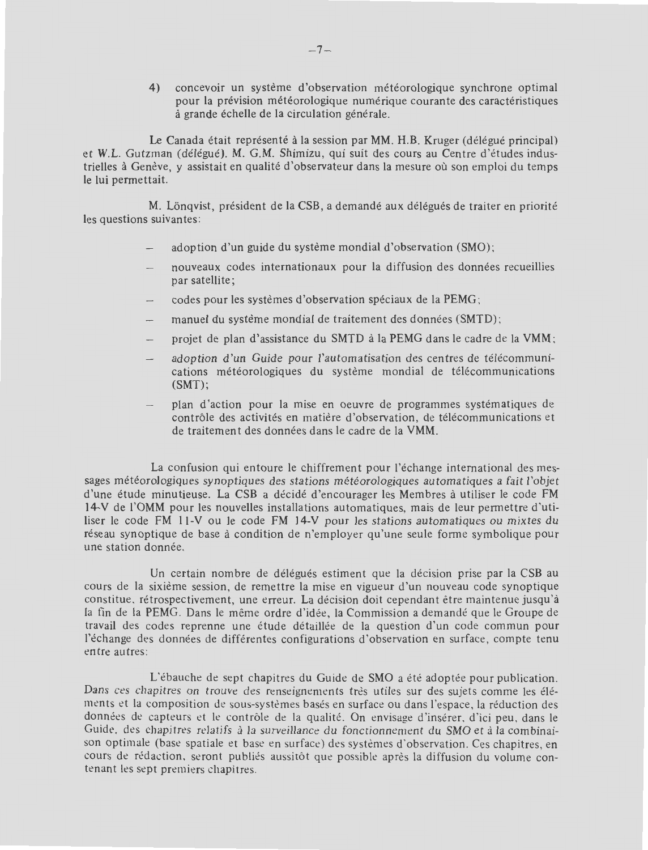4) concevoir un système d'observation météorologique synchrone optimal pour la prévision météorologique numérique courante des caractéristiques à grande échelle de la circulation générale.

Le Canada était représenté à la session par MM. H.B. Kruger (délégué principal) et W.L. Gutzman (délégué). M. G.M. Shimizu, qui suit des cours au Centre d'études industrielles à Genève, y assistait en qualité d'observateur dans la mesure où son emploi du temps le lui permettait.

M. Löngvist, président de la CSB, a demandé aux délégués de traiter en priorité les questions suivantes:

- adoption d'un guide du systeme mondial d'observation (SMO) ;
- nouveaux codes internationaux pour la diffusion des donnees recueillies par satellite;
- codes pour les systèmes d'observation spéciaux de la PEMG;
- manuel du système mondial de traitement des données (SMTD);
- projet de plan d'assistance du SMTD à la PEMG dans le cadre de la VMM;
- adoption d'un Guide pour l'automatisation des centres de télécommunications météorologiques du système mondial de télécommunications  $(SMT)$ ;
- plan d'action pour la mise en oeuvre de programmes systématiques de contrôle des activités en matière d'observation, de télécommunications et de traitement des données dans le cadre de la VMM.

La confusion qui entoure le chiffrement pour l'échange international des messages météorologiques synoptiques des stations météorologiques automatiques a fait l'objet d'une étude minu tieuse. La CSB a décidé d'encourager les Membres à utiliser le code FM 14-V de l'OMM pour les nouvelles installations automatiques, mais de leur permettre d'utiliser le code FM 11-V ou le code FM 14-V pour les stations automatiques ou mixtes du réseau synoptique de base à condition de n'employer qu'une seule forme symbolique pour une station donnée.

Un certain nombre de délégués estiment que la décision prise par la CSB au cours de la sixieme session , de reme ttre la mise en vigueur d'un nouveau code synoptique constitue, rétrospectivement, une erreur. La décision doit cependant être maintenue jusqu'à la fin de la PEMG. Dans le même ordre d'idée, la Commission a demandé que le Groupe de travail des codes reprenne une étude détaillée de la question d'un code commun pour l'échange des données de différentes configurations d'observation en surface, compte tenu entre autres:

L'ébauche de sept chapitres du Guide de SMO a été adoptée pour publication. Dans ces chapitres on trouve des renseignements très utiles sur des sujets comme les éléments et la composition de sous-systèmes basés en surface ou dans l'espace, la réduction des données de capteurs et le contrôle de la qualité. On envisage d'insérer, d'ici peu, dans le Guide, des chapitres relatifs à la surveillance du fonctionnement du SMO et à la combinaison optimale (base spatiale et base en surface) des systèmes d'observation. Ces chapitres, en cours de rédaction, seront publiés aussitôt que possible après la diffusion du volume contenant les sept premiers chapitres.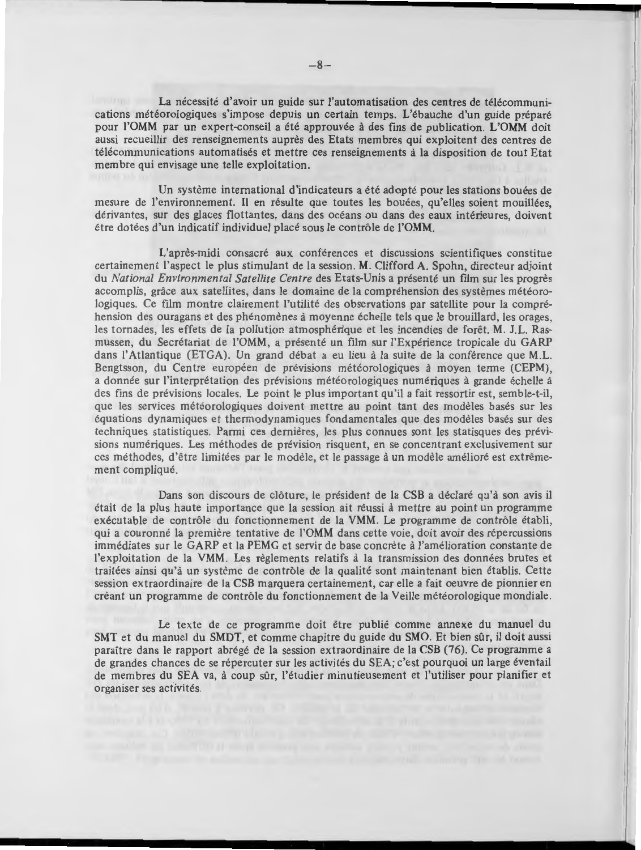La nécessité d'avoir un guide sur l'automatisation des centres de télécommunica tions meteorologiques s'impose depuis un certain temps. L'ebauche d'un guide prepare pour l'OMM par un expert-conseil a ete approuvee a des fins de publication. **L'OMM** doit aussi recueillir des renseignements aupres des Etats membres qui exploitent des centres de telecommunications automatises et mettre ces renseignements a la disposition de tout Etat membre qui envisage une telle exploitation.

Un système international d'indicateurs a été adopté pour les stations bouées de mesure de l'environnement. Il en résulte que toutes les bouées, qu'elles soient mouillées, derivantes, sur des glaces flottantes, dans des oceans ou dans des eaux interieures, doivent etre dotees d 'un indicatif individuel place sous le controle de **l'OMM.** 

L'apres-midi consacre aux conferences et discussions scientifiques constitue certainement !'aspect le plus stimulant de la session. **M.** Clifford A. Spohn, directeu r adjoint du *National Environmen tal Satellite Centre* des Etats-Unis a presente un film sur Jes progres accomplis, grace aux satellites, dans le domaine de la comprehension des systemes meteorologiques. Ce film montre clairement l'utilité des observations par satellite pour la compréhension des ouragans et des phénomènes à moyenne échelle tels que le brouillard, les orages, les tornades, les effets de la pollution atmosphérique et les incendies de forêt. M. J.L. Rasmussen, du Secrétariat de l'OMM, a présenté un film sur l'Expérience tropicale du GARP dans l'Atlantique (ETGA). Un grand débat a eu lieu à la suite de la conférence que M.L. Bengtsson, du Centre européen de prévisions météorologiques à moyen terme (CEPM), a donnée sur l'interprétation des prévisions météorologiques numériques à grande échelle à des fins de previsions locales. Le point le plus important qu'il a fait ressortir est, semble-t-il, que les services météorologiques doivent mettre au point tant des modèles basés sur les équations dynamiques et thermodynamiques fond amentales que des modèles basés sur des techniques statistiques. Parmi ces dernières, les plus connues sont les statisques des prévisions numériques. Les méthodes de prévision risquent, en se concentrant exclusivement sur ces methodes, d'etre limitees par le modele, et le passage a un modele ameliore est extremement complique.

Dans son discours de clôture, le président de la CSB a déclaré qu'à son avis il etait de la plus haute importance que la session ait reussi a mettre au point un programme exécutable de contrôle du fonctionnement de la VMM. Le programme de contrôle établi, qui a couronné la première tentative de l'OMM dans cette voie, doit avoir des répercussions immédiates sur le GARP et la PEMG et servir de base concrète à l'amélioration constante de l'exploitation de la VMM. Les règlements relatifs à la transmission des données brutes et traitees ainsi qu'a un systeme de controle de la qualite sont maintenant bien etablis. Cette session ex traordinaire de la CSB marquera certainemen t, car elle a fait oeuvre de pionnier en creant un programme de controle du fonctionnement de la Veille meteorologique mondiale.

Le texte de ce programme doit être publié comme annexe du manuel du SMT et du manuel du SMDT, et comme chapitre du guide du SMO. Et bien sûr, il doit aussi paraître dans le rapport abrégé de la session extraordinaire de la CSB (76). Ce programme a de grandes chances de se répercuter sur les activités du SEA; c'est pourquoi un large éventail de membres du SEA va, à coup sûr, l'étudier minutieusement et l'utiliser pour planifier et organiser ses activités.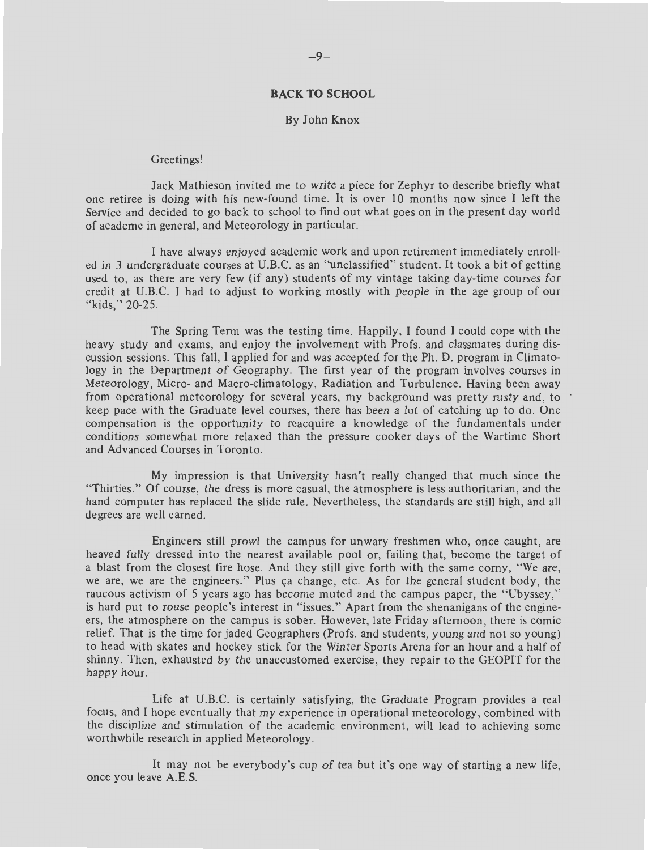# **BACK TO SCHOOL**

#### By John Knox

#### Greetings!

Jack Mathieson invited me to write a piece for Zephyr to describe briefly what one retiree is doing with his new-found time. It is over 10 months now since I left the Service and decided to go back to school to find out what goes on in the present day world of academe in general, and Meteorology in particular.

I have always enjoyed academic work and upon retirement immediately enrolled in 3 undergraduate courses at U.B.C. as an "unclassified" student. It took a bit of getting used to, as there are very few (if any) students of my vintage taking day-time courses for credit at U.B.C. I had to adjust to working mostly with people in the age group of our "kids," 20-25.

The Spring Term was the testing time. Happily, I found I could cope with the heavy study and exams, and enjoy the involvement with Profs. and classmates during discussion sessions. This fall, I applied for and was accepted for the Ph. D. program in Climatology in the Department of Geography. The first year of the program involves courses in Meteorology, Micro- and Macro-climatology, Radiation and Turbulence. Having been away from operational meteorology for several years, my background was pretty rusty and, to keep pace with the Graduate level courses, there has been a lot of catching up to do . One compensation is the opportunity to reacquire a knowledge of the fundamentals under conditions somewhat more relaxed than the pressure cooker days of the Wartime Short and Advanced Courses in Toronto.

My impression is that University hasn't really changed that much since the "Thirties." Of course, the dress is more casual, the atmosphere is less authoritarian , and the hand computer has replaced the slide rule . Nevertheless, the standards are still high, and all degrees are well earned.

Engineers still prowl the campus for unwary freshmen who, once caught, are heaved fully dressed into the nearest available pool or, failing that, become the target of a blast from the closest fire hose. And they still give forth with the same corny, "We are, we are, we are the engineers." Plus ca change, etc. As for the general student body, the raucous activism of 5 years ago has become muted and the campus paper, the "Ubyssey," is hard put to rouse people's interest in "issues." Apart from the shenanigans of the engineers, the atmosphere on the campus is sober. However, late Friday afternoon, there is comic relief. That is the time for jaded Geographers (Profs. and students, young and not so young) to head with skates and hockey stick for the Winter Sports Arena for an hour and a half of shinny. Then, exhausted by the unaccustomed exercise, they repair to the GEOPIT for the happy hour.

Life at U.B.C. is certainly satisfying, the Graduate Program provides a real focus, and I hope eventually that my experience in operational meteorology, combined with the discipline and stimulation of the academic environment, will lead to achieving some worthwhile research in applied Meteorology.

It may not be everybody's cup of tea but it's one way of starting a new life, once you leave A.E.S.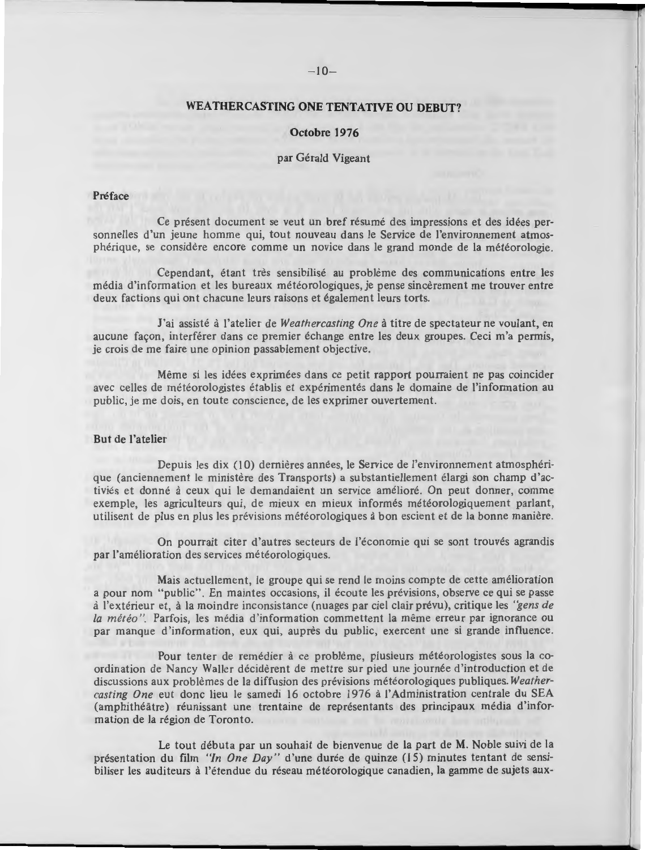# $-10-$

# **WEATHERCASTING ONE TENTATIVE OU DEBUT?**

# **Octobre 1976**

# par Gérald Vigeant

#### **Preface**

Ce présent document se veut un bref résumé des impressions et des idées personnelles d'un jeune homme qui, tout nouveau dans le Service de l'environnement atmospherique, se considere encore comme un novice dans le grand monde de la meteorologie.

Cependant, étant très sensibilisé au problème des communications entre les média d'information et les bureaux météorologiques, je pense sincèrement me trouver entre deux factions qui ont chacune leurs raisons et également leurs torts.

J'ai assisté à l'atelier de Weathercasting One à titre de spectateur ne voulant, en aucune facon, interférer dans ce premier échange entre les deux groupes. Ceci m'a permis, je crois de me faire une opinion passablement objective.

Même si les idées exprimées dans ce petit rapport pourraient ne pas coincider avec celles de météorologistes établis et expérimentés dans le domaine de l'information au public, je me dois, en toute conscience, de les exprimer ouvertement.

# **But de !'atelier**

Depuis les dix (10) dernières années, le Service de l'environnement atmosphérique (anciennement le ministère des Transports) a substantiellement élargi son champ d'activiés et donné à ceux qui le demandaient un service amélioré. On peut donner, comme exemple, les agriculteurs qui, de mieux en mieux informés météorologiquement parlant, utilisent de plus en plus les prévisions météorologiques à bon escient et de la bonne manière.

On pourrait citer d'autres secteurs de l'économie qui se sont trouvés agrandis par l'amélioration des services météorologiques.

Mais actuellement, le groupe qui se rend le moins compte de cette amélioration a pour nom "public". En maintes occasions, il écoute les prévisions, observe ce qui se passe a l'ex terieur et, a la moindre inconsistance (nuages par ciel clair prevu), critique !es *"gens de*  la *météo*". Parfois, les média d'information commettent la même erreur par ignorance ou par manque d'information, eux qui, auprès du public, exercent une si grande influence.

Pour tenter de remédier à ce problème, plusieurs météorologistes sous la coordination de Nancy Waller décidèrent de mettre sur pied une journée d'introduction et de discussions aux problèmes de la diffusion des prévisions météorologiques publiques. *Weathercasting One* eut done lieu le samedi 16 octobre 1976 a !'Administration centrale du SEA (amphithéâtre) réunissant une trentaine de représentants des principaux média d'information de la région de Toronto.

Le tout débuta par un souhait de bienvenue de la part de M. Noble suivi de la presentation du film *"In On e Day"* d'une duree de quinze (15) minutes tentant de sensibiliser les auditeurs à l'étendue du réseau météorologique canadien, la gamme de sujets aux-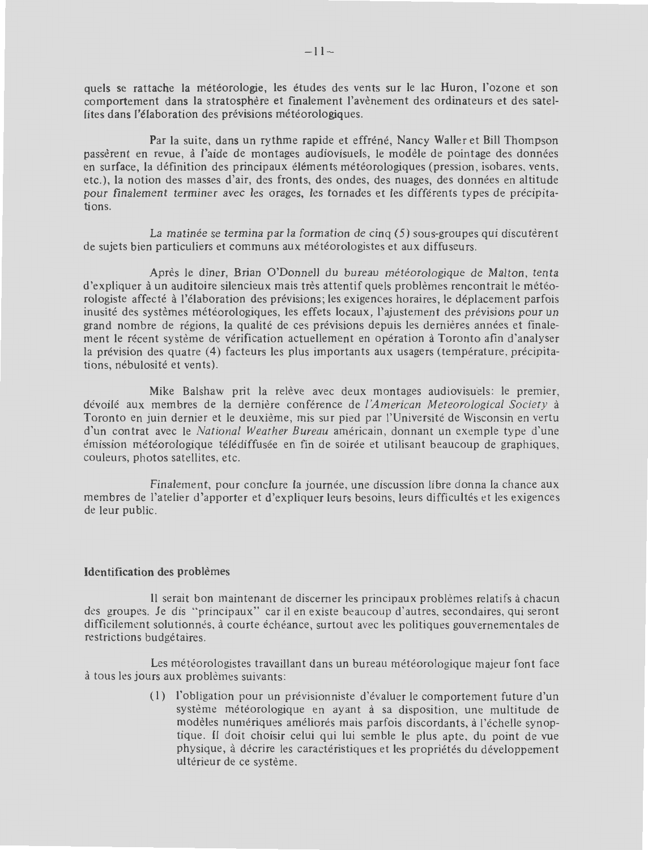quels se rattache la météorologie, les études des vents sur le lac Huron, l'ozone et son comportement dans la stratosphere et finalement l'avenement des ordinateurs et des satellites dans l'élaboration des prévisions météorologiques.

Par la suite, dans un rythme rapide et effrene, Nancy Waller et Bill Thompson passerent en revue, a I'aide de montages audiovisuels, le modele de pointage des donnees en surface, la définition des principaux éléments météorologiques (pression, isobares, vents, etc.), la notion des masses d'air, des fronts, des ondes, des nuages, des donnees en altitude pour finalement terminer avec les orages, les tornades et Jes differents types de precipitations.

La matinée se termina par la formation de cinq  $(5)$  sous-groupes qui discuterent de sujets bien particuliers et communs aux meteorologistes et aux diffuseurs.

Après le dîner, Brian O'Donnell du bureau météorologique de Malton, tenta d'expliquer à un auditoire silencieux mais très attentif quels problèmes rencontrait le météorologiste affecté à l'élaboration des prévisions; les exigences horaires, le déplacement parfois inusite des systemes meteorologiques, les effets locaux, l'ajustement des previsions pour un grand nombre de régions, la qualité de ces prévisions depuis les dernières années et finalement le récent système de vérification actuellement en opération à Toronto afin d'analyser la prévision des quatre (4) facteurs les plus importants aux usagers (température, précipitations, nébulosité et vents).

**Mike** Balshaw prit la releve avec deux montages audiovisuels: le premier, devoile aux membres de la derniere conference de *!'American Meteo rological Society* a Toronto en juin dernier et le deuxième, mis sur pied par l'Université de Wisconsin en vertu d'un contrat avec le *National Weather Bureau* americain , donnant un exemple type d'une 'mission meteorologique telediffusee en fin de soiree et utilisant beaucoup de graphiques, couleurs, photos satellites, etc.

Finalement, pour conclure Ia journee, une discussion libre donna la chance aux membres de l'atelier d'apporter et d'expliquer leurs besoins, leurs difficultés et les exigences de leur public.

#### **Identification des problemes**

Il serait bon maintenant de discerner les principaux problèmes relatifs à chacun des groupes. Je dis "principaux" car il en existe beaucoup d'autres, secondaires, qui seront difficilement solutionnés, à courte échéance, surtout avec les politiques gouvernementales de restrictions budgétaires.

Les météorologistes travaillant dans un bureau météorologique majeur font face à tous les jours aux problèmes suivants:

> (I) !'obligation pour un previsionniste d'evaluer le comportement future d'un système météorologique en ayant à sa disposition, une multitude de modèles numériques améliorés mais parfois discordants, à l'échelle synoptique. Il doit choisir celui qui lui semble le plus apte, du point de vue physique, à décrire les caractéristiques et les propriétés du développement ultérieur de ce système.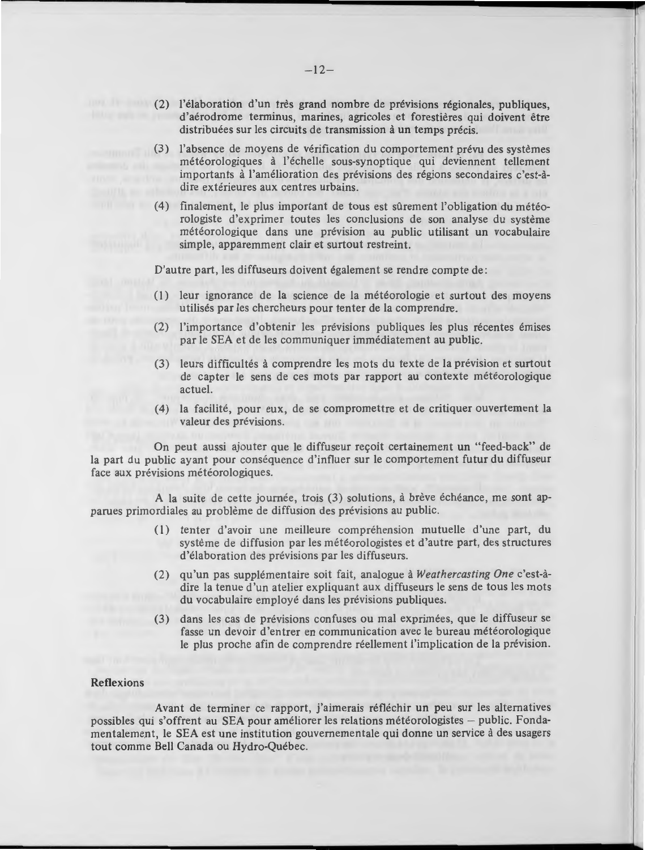- (2) !'elaboration d'un tres grand nombre de previsions regionales, publiques, d'aerodrome terminus, marines, agricoles et forestieres qui doivent etre distribuées sur les circuits de transmission à un temps précis.
	- (3) !'absence de moyens de verification du comportement prevu des systemes météorologiques à l'échelle sous-synoptique qui deviennent tellement importants à l'amélioration des prévisions des régions secondaires c'est-àdire extérieures aux centres urbains.
	- (4) finalement, le plus important de tous est surement !'obligation du meteorologiste d'exprimer toutes les conclusions de son analyse du systeme météorologique dans une prévision au public utilisant un vocabulaire simple, apparemment clair et surtout restreint.

D'autre part, les diffuseurs doivent également se rendre compte de :

- (1) leur ignorance de la science de la météorologie et surtout des moyens utilisés par les chercheurs pour tenter de la comprendre.
- (2) !'importance d'obtenir les previsions publiques !es plus recentes emises par le SEA et de les communiquer immediatement au public.
- (3) leurs difficultés à comprendre les mots du texte de la prévision et surtout de capter le sens de ces mots par rapport au contexte météorologique actuel.
- (4) la facilite, pour eux, de se compromettre et de critiquer ouvertement la valeur des prévisions.

On peut aussi ajouter que le diffuseur reçoit certainement un "feed-back" de la part du public ayant pour conséquence d'influer sur le comportement futur du diffuseur face aux prévisions météorologiques.

A la suite de cette journée, trois (3) solutions, à brève échéance, me sont apparues primordiales au probleme de diffusion des previsions au public.

- (I) tenter d'avoir une meilleure comprehension mutuelle d'une part, du système de diffusion par les météorologistes et d'autre part, des structures d'élaboration des prévisions par les diffuseurs.
- (2) qu'un pas supplementaire soit fait, analogue a *Weathercasting One* c'est-adire la tenue d'un atelier expliquant aux diffuseurs le sens de tous les mots du vocabulaire employé dans les prévisions publiques.
- (3) dans les cas de prévisions confuses ou mal exprimées, que le diffuseur se fasse un devoir d'entrer en communication avec le bureau météorologique le plus proche afin de comprendre réellement l'implication de la prévision.

#### **Reflexions**

Avant de terminer ce rapport, j'aimerais réfléchir un peu sur les alternatives possibles qui s'offrent au SEA pour améliorer les relations météorologistes - public. Fondamentalement, le SEA est une institution gouvernementale qui donne un service a des usagers tout comme Bell Canada ou Hydro-Quebec.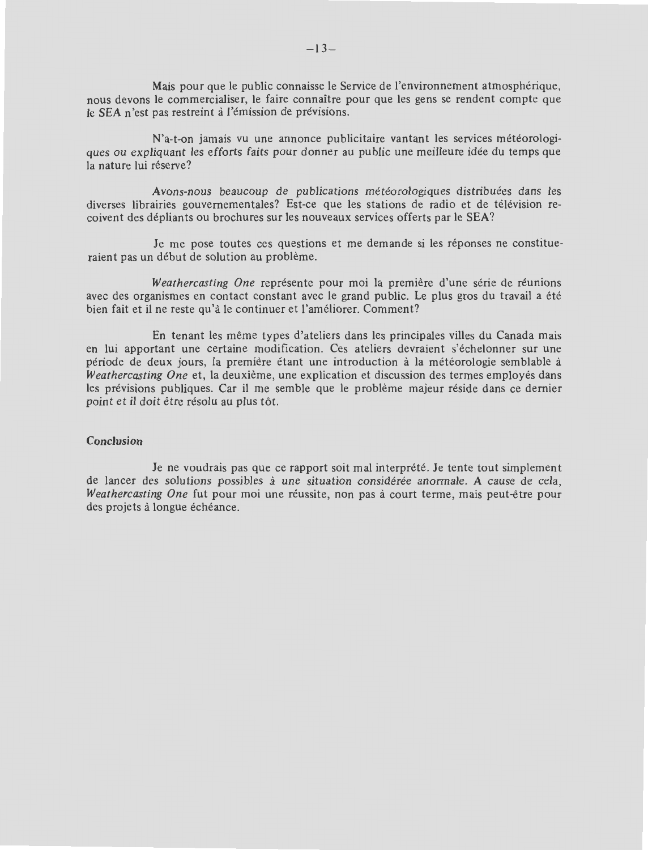Mais pour que le public connaisse le Service de l'environnement atmospherique, nous devons le commercialiser, le faire connaitre pour que les gens se rendent compte que le SEA n'est pas restreint à l'émission de prévisions.

N'a-t-on jamais vu une annonce publicitaire vantant les services météorologiques ou expliquant !es efforts faits pour donner au public une meilleure idee du temps que la nature lui réserve?

Avons-nous beaucoup de publications météorologiques distribuées dans les diverses librairies gouvernementales? Est-ce que les stations de radio et de télévision recoivent des dépliants ou brochures sur les nouveaux services offerts par le SEA?

Je me pose toutes ces questions et me demande si les réponses ne constitueraient pas un début de solution au problème.

*Weathercasting One* représente pour moi la première d'une série de réunions avec des organismes en contact constant avec le grand public. Le plus gros du travail a été bien fait et il ne reste qu'à le continuer et l'améliorer. Comment?

En tenant les même types d'ateliers dans les principales villes du Canada mais en lui apportant une certaine modification. Ces ateliers devraient s'echelonner sur une periode de deux jours, la premiere etant une introduction a la meteorologie semblable a *Weathercasting One* et, la deuxième, une explication et discussion des termes employés dans les prévisions publiques. Car il me semble que le problème majeur réside dans ce dernier point et il doit être résolu au plus tôt.

# **Conclusion**

Je ne voudrais pas que ce rapport soit mal interprété. Je tente tout simplement de lancer des solutions possibles a une situation consideree anormale. **A** cause de cela, *Weathercasting One* fut pour moi une réussite, non pas à court terme, mais peut-être pour des projets à longue échéance.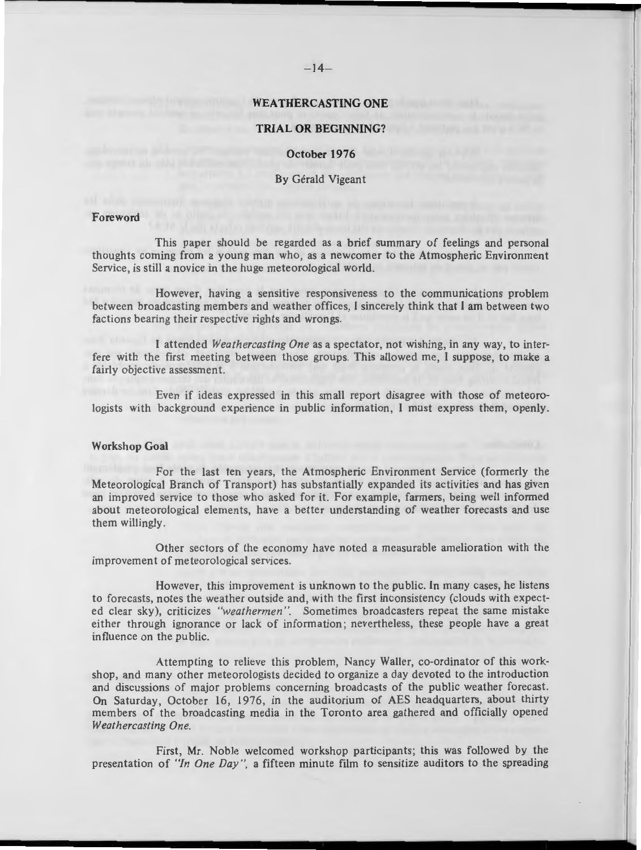# **WEA THERCASTING ONE**

#### **TRIAL OR BEGINNING?**

# **October 1976**

#### By Gerald Vigeant

#### **Foreword**

This paper should be regarded as a brief summary of feelings and personal thoughts coming from a young man who, as a newcomer to the Atmospheric Environment Service, is still a novice in the huge meteorological world.

However, having a sensitive responsiveness to the communications problem between broadcasting members and weather offices, I sincerely think that I am between two factions bearing their respective rights and wrongs.

I attended *Weathercasting One* as a spectator, not wishing, in any way, to interfere with the first meeting between those groups. This allowed me, I suppose, to make a fairly objective assessment.

Even if ideas expressed in this small report disagree with those of meteorologists with background experience in public information, I must express them, openly.

#### **Workshop Goal**

For the last ten years, the Atmospheric Environment Service (formerly the Meteorological Branch of Transport) has substantially expanded its activities and has given an improved service to those who asked for it. For example, farmers, being well informed about meteorological elements, have a better understanding of weather forecasts and use them willingly.

Other sectors of the economy have noted a measurable amelioration with the improvement of me teorological services.

However, this improvement is unknown to the public. In many cases, he listens to forecasts, notes the weather outside and , with the first inconsistency (clouds with expected clear sky), criticizes *"weathermen ".* Sometimes broadcasters repeat the same mistake either through ignorance or lack of information; nevertheless, these people have a great influence on the public.

Attempting to relieve this problem, Nancy Waller, co-ordinator of this workshop, and many other meteorologists decided to organize a day devoted to the introduction and discussions of major problems concerning broadcasts of the public weather forecast. On Saturday, October 16, 1976, in the auditorium of AES headquarters, about thirty members of the broadcasting media in the Toronto area gathered and officially opened *Weathercasting One.* 

First, Mr. Noble welcomed workshop participants; this was followed by the presentation of *"In One Day ",* a fifteen minute film to sensitize auditors to the spreading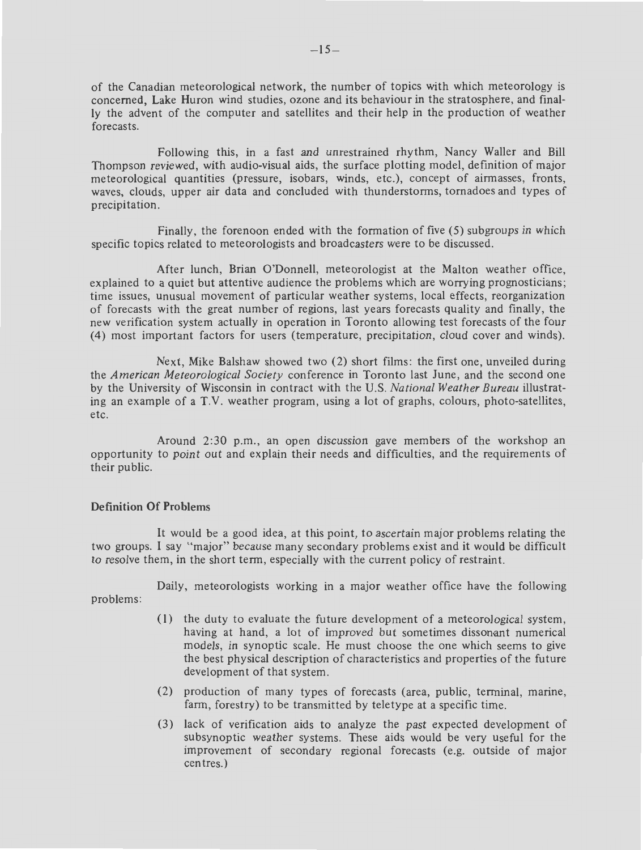of the Canadian meteorological network, the number of topics with which meteorology is concerned, Lake Huron wind studies, ozone and its behaviour in the stratosphere, and finally the advent of the computer and satellites and their help in the production of weather forecasts.

Following this, in a fast and unrestrained rhythm, Nancy Waller and Bill Thompson reviewed, with audio-visual aids, the surface plotting model, definition of major meteorological quantities (pressure, isobars, winds, etc.), concept of airmasses, fronts, waves, clouds, upper air data and concluded with thunderstorms, tornadoes and types of precipitation .

Finally, the forenoon ended with the formation of five (5) subgroups in which specific topics related to meteorologists and broadcasters were to be discussed.

After lunch, Brian O'Donnell, meteorologist at the Malton weather office, explained to a quiet but attentive audience the problems which are worrying prognosticians; time issues, unusual movement of particular weather systems, local effects, reorganization of forecasts with the great number of regions, last years forecasts quality and finally , the new verification system actually in operation in Toronto allowing test forecasts of the four (4) most important factors for users (temperature, precipitation, cloud cover and winds).

Next, Mike Balshaw showed two (2) short films: the first one, unveiled during the *American Meteorological Society* conference in Toronto last June, and the second one by the University of Wisconsin in contract with the U.S. *National Weather Bureau* illustrating an example of a T.V. weather program, using a lot of graphs, colours, photo-satellites, etc.

Around 2:30 p.m., an open discussion gave members of the workshop an opportunity to point out and explain their needs and difficulties, and the requirements of their public.

# **Definition Of Problems**

It would be a good idea, at this point, to ascertain major problems relating the two groups. I say " major" because many secondary problems exist and it would be difficult to resolve them, in the short term, especially with the current policy of restraint.

Daily, meteorologists working in a major weather office have the following problems:

- (l) the duty to evaluate the future development of a meteorological system, having at hand, a lot of improved but sometimes dissonant numerical models, in synoptic scale. He must choose the one which seems to give the best physical description of characteristics and properties of the future development of that system.
- (2) production of many types of forecasts (area, public, terminal, marine, farm, forestry) to be transmitted by teletype at a specific time.
- (3) lack of verification aids to analyze the past expected development of subsynoptic weather systems. These aids would be very useful for the improvement of secondary regional forecasts (e.g. outside of major centres.)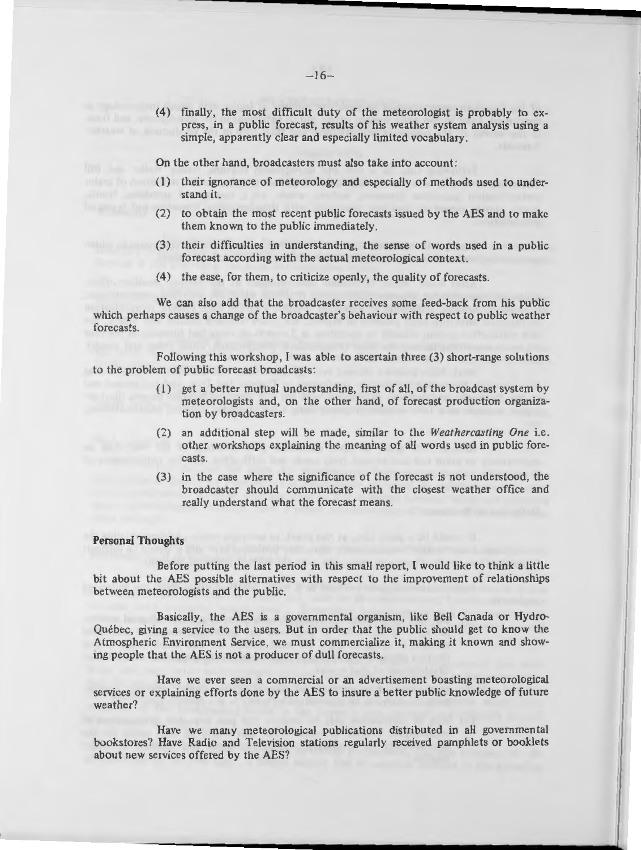(4) finally, the most difficult duty of the meteorologist is probably to express, in a public forecast, results of his weather system analysis using a simple, apparently clear and especially limited vocabulary.

On the other hand, broadcasters must also take into account:

- ( 1) their ignorance of meteorology and especially of methods used to understand it.
- (2) to obtain the most recent public forecasts issued by the AES and to make them known to the public immediately.
- (3) their difficulties in understanding, the sense of words used in a public forecast according with the actual meteorological context.
- (4) the ease, for them, to criticize openly, the quality of forecasts.

We can also add that the broadcaster receives some feed-back from his public which perhaps causes a change of the broadcaster's behaviour with respect to public weather forecasts.

Following this workshop, I was able to ascertain three (3) short-range solutions to the problem of public forecast broadcasts:

- ( 1) get a better mutual understanding, first of all, of the broadcast system by meteorologists and, on the other hand, of forecast production organization by broadcasters.
- (2) an additional step will be made , similar to the *Weathercasting One* i.e. other workshops explaining the meaning of all words used in public forecasts.
- (3) in the case where the significance of the forecast is not understood , the broadcaster should communicate with the closest weather office and really understand what the forecast means.

#### **Personal Thoughts**

Before putting the last period in this small report, I would like to think a little bit about the AES possible alternatives with respect to the improvement of relationships between meteorologists and the public.

Basically, the AES is a governmental organism, like Bell Canada or Hydro-Quebec, giving a service to the users. But in order that the public should get to know the Atmospheric Environment Service , we must commercialize it, making it known and showing people that the AES is not a producer of dull forecasts.

Have we ever seen a commercial or an advertisement boasting meteorological services or explaining efforts done by the AES to insure a better public knowledge of future weather?

Have we many meteorological publications distributed in all governmental bookstores? Have Radio and Television stations regularly received pamphlets or booklets about new services offered by the AES?

**l.. \_\_\_\_\_\_ ~---- -------11111111111111-**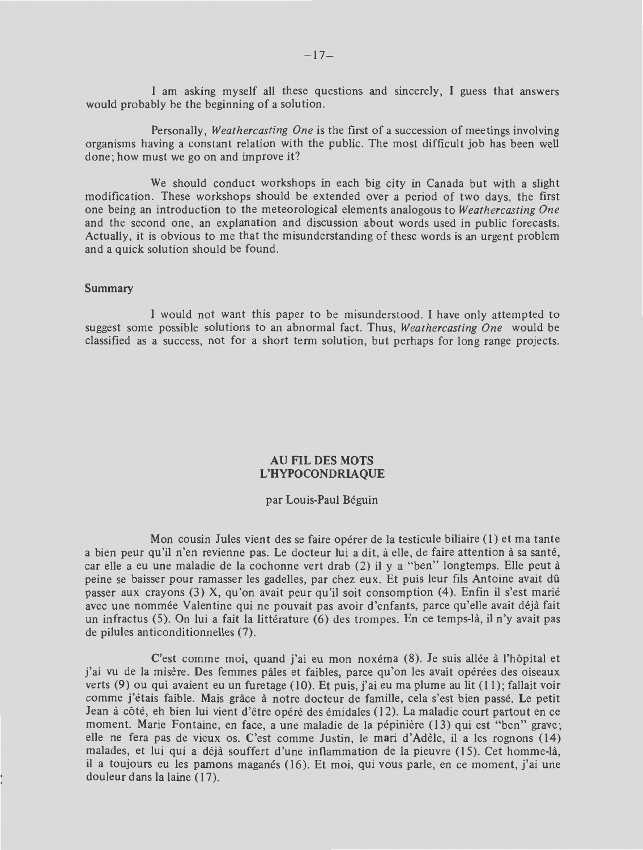I am asking myself all these questions and sincerely, I guess that answers would probably be the beginning of a solution.

Personally, *Weathercasting One* is the first of a succession of meetings involving organisms having a constant relation with the public. The most difficult job has been well done; how must we go on and improve it?

We should conduct workshops in each big city in Canada but with a slight modification. These workshops should be extended over a period of two days, the first one being an introduction to the meteorological elements analogous to *Weathercasting One*  and the second one, an explanation and discussion about words used in public forecasts. Actually, it is obvious to me that the misunderstanding of these words is an urgent problem and a quick solution should be found.

# **Summary**

I would not want this paper to be misunderstood. I have only attempted to suggest some possible solutions to an abnormal fact. Thus, *Weathercasting One* would be classified as a success, not for a short term solution, but perhaps for long range projects.

# **AU FIL DES MOTS L'HYPOCONDRIAQUE**

#### par Louis-Paul Beguin

Mon cousin Jules vient des se faire opérer de la testicule biliaire (1) et ma tante a bien peur qu'il n'en revienne pas. Le docteur lui a dit, à elle, de faire attention à sa santé, car elle a eu une maladie de la cochonne vert drab (2) il y a "ben" longtemps. Elle peut à peine se baisser pour ramasser Jes gadelles, par chez eux. Et puis leur fils Antoine avait du passer aux crayons (3) X, qu'on avait peur qu'il soit consomption (4). Enfin il s'est marie avec une nommee Valentine qui ne pouvait pas avoir d'enfants, parce qu'elle avait deja fait un infractus  $(5)$ . On lui a fait la littérature  $(6)$  des trompes. En ce temps-là, il n'y avait pas de pilules anticonditionnelles (7).

C'est comme moi, quand j'ai eu mon noxéma (8). Je suis allée à l'hôpital et j'ai vu de la misère. Des femmes pâles et faibles, parce qu'on les avait opérées des oiseaux verts  $(9)$  ou qui avaient eu un furetage  $(10)$ . Et puis, j'ai eu ma plume au lit  $(11)$ ; fallait voir comme j'etais faible. Mais grace a notre docteur de famille, cela s'est bien passe. Le petit Jean à côté, eh bien lui vient d'être opéré des émidales (12). La maladie court partout en ce moment. Marie Fontaine, en face, a une maladie de la pépinière (13) qui est "ben" grave; elle ne fera pas de vieux os. C'est comme Justin, le mari d'Adèle, il a les rognons (14) malades, et lui qui a déjà souffert d'une inflammation de la pieuvre (15). Cet homme-là, il a toujours eu les pamons maganés (16). Et moi, qui vous parle, en ce moment, j'ai une douleur dans la Jaine ( **1** 7).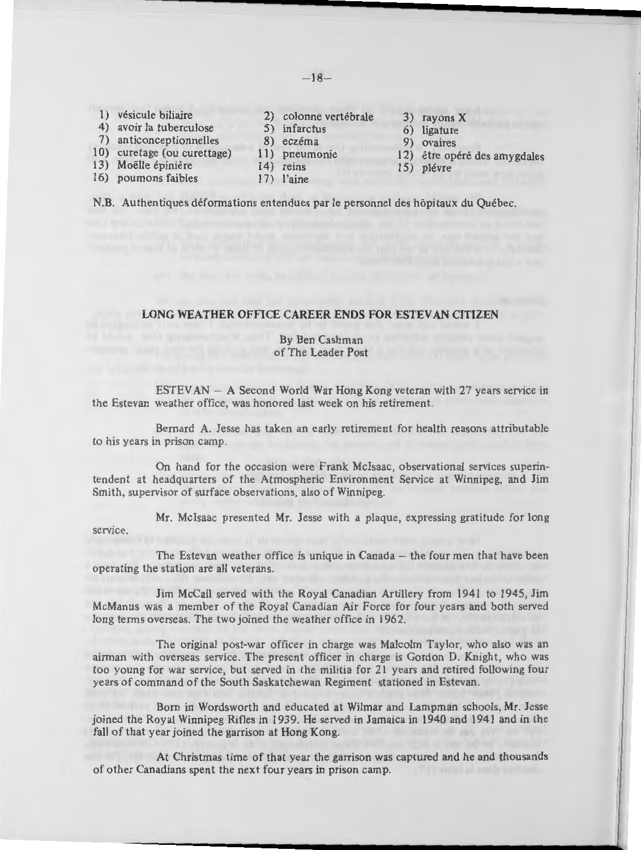- 1) vésicule biliaire 2) colonne vertébrale 3) rayons X<br>
4) avoir la tuberculose 5) infarctus 6) ligature
- 4) avoir la tuberculose 5) infarctus 6) ligature<br>
7) anticonceptionnelles 8) eczéma 9) ovaires
- 7) anticonceptionnelles 8) eczéma<br>10) curetage (ou curettage) 11) pneumonie
- 
- 
- 
- 
- 
- 
- 
- 
- 
- 
- 
- 
- 10) curetage (ou curettage) 11) pneumonie 12) être opéré des amygdales 13) Moëlle épinière 14) reins 15) plévre 16) poumons faibles 17) l'aine
	-

**N.B.** Authentiques deformations entendues par le personnel des hopitaux du Quebec.

# **LONG WEATHER OFFICE CAREER ENDS FOR ESTEY AN CITIZEN**

#### By Ben Cashman of The Leader Post

ESTEVAN - A Second World War Hong Kong veteran with 27 years service in the Estevan weather office, was honored last week on his retirement.

Bernard A. Jesse has taken an early retirement for health reasons attributable to his years in prison camp.

On hand for the occasion were Frank Mclsaac , observational services superintendent at headquarters of the Atmospheric Environment Service at Winnipeg, and Jim Smith, supervisor of surface observations, also of Winnipeg.

Mr. Mclsaac presented Mr. Jesse with a plaque, expressing gratitude for long

service.

**L** 

The Estevan weather office is unique in Canada - the four men that have been operating the station are all veterans.

Jim McCall served with the Royal Canadian Artillery from 1941 to 1945, Jim McManus was a member of the Royal Canadian Air Force for four years and both served long terms overseas. The two joined the weather office in 1962.

The original post-war officer in charge was Malcolm Taylor, who also was an airman with overseas service. The present officer in charge is Gordon D. Knight, who was too young for war service, but served in the militia for 21 years and retired following four years of command of the South Saskatchewan Regiment stationed in Estevan.

Born in Wordsworth and educated at Wilmar and Lampman schools, Mr. Jesse joined the Royal Winnipeg Rifles in 1939. He served in Jamaica in 1940 and 1941 and in the fall of that year joined the garrison at Hong Kong. fall of that year joined the garrison at Hong Kong.

At Christmas time of that year the garrison was captured and he and thousands<br>adians spent the next four years in prison camp. of other Canadians spent the next four years in prison camp.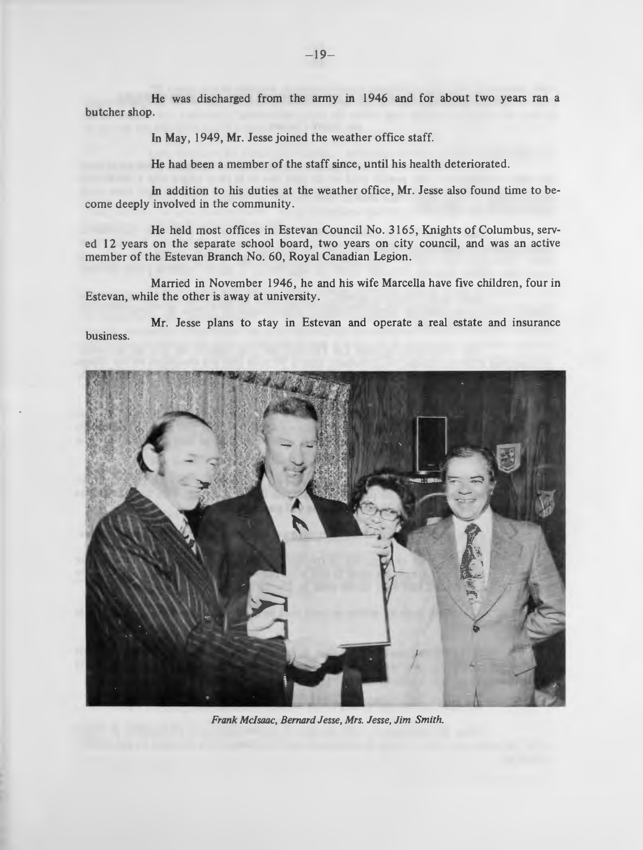He was discharged from the army in 1946 and for about two years ran a butcher shop.

In **May ,** I 949, **Mr.** Jesse joined the weather office staff.

He had been a member of the staff since, until his health deteriorated.

In addition to his duties at the weather office, **Mr.** Jesse also found time to become deeply involved in the community.

He held most offices in Estevan Council No. 3165, Knights of Columbus, served 12 years on the separate school board, two years on city council, and was an active member of the Estevan Branch No. 60, Royal Canadian Legion.

Married in November 1946, he and his wife Marcella have five children, four in Estevan, while the other is away at university.

**Mr.** Jesse plans to stay in Estevan and operate a real estate and insurance business.



*Frank Mcfsaac, Bernard Jesse, Mrs. Jesse, Jim Smith.*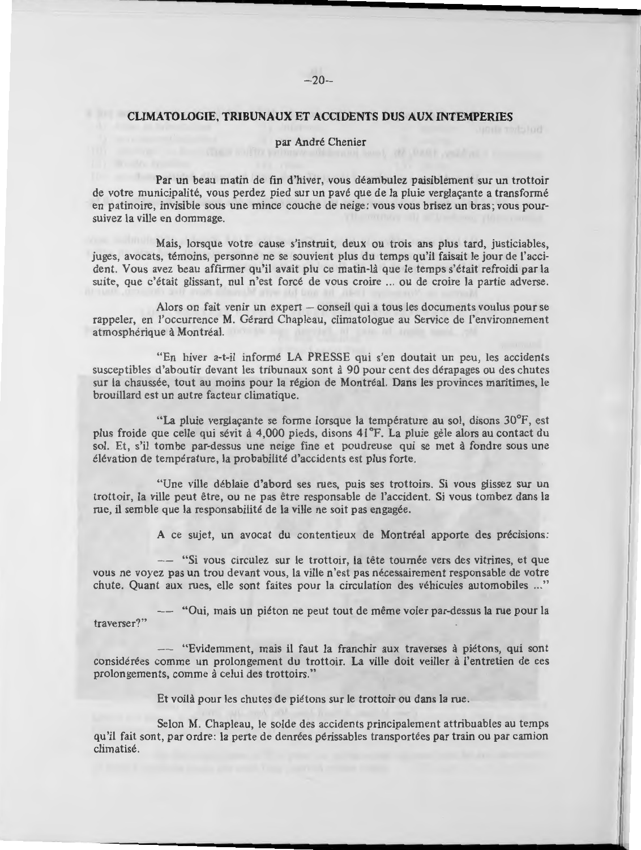# **CLIMATOLOGIE, TRIBUNAUX ET ACCIDENTS DUS AUX INTEMPERIES**

I I

I

I

# par Andre Chenier

Par un beau matin de fin d'hiver, vous deambulez paisiblement sur un trottoir de votre municipalité, vous perdez pied sur un pavé que de la pluie verglaçante a transformé en patinoire, invisible sous une mince couche de neige: vous vous brisez un bras; vous poursuivez la ville en dommage.

Mais, lorsque votre cause s'instruit, deux ou trois ans plus tard, justiciables, juges, avocats, temoins, personne ne se souvient plus du temps qu'il faisait le jour de !'accident. Yous avez beau affirmer qu'il avait plu ce matin-la que le temps s'etait refroidi par la suite, que c'était glissant, nul n'est forcé de vous croire ... ou de croire la partie adverse.

Alors on fait venir un expert  $-$  conseil qui a tous les documents voulus pour se rappeler, en !'occurrence **M.** Gerard Chapleau, climatologue au Service de l'environnement atmosphérique à Montréal.

"En hiver a-t-il informé LA PRESSE qui s'en doutait un peu, les accidents susceptibles d'aboutir devant Jes tribunaux sont a 90 pour cent des derapages ou des chutes sur la chaussée, tout au moins pour la région de Montréal. Dans les provinces maritimes, le brouillard est un autre facteur climatique.

"La pluie verglaçante se forme lorsque la température au sol, disons 30°F, est plus froide que celle qui sevit a 4,000 pieds, disons 41 °F. La pluie gele alors au contact du sol. Et, s'il tombe par-dessus une neige fine et poudreuse qui se met à fondre sous une élévation de température, la probabilité d'accidents est plus forte.

"Une ville déblaie d'abord ses rues, puis ses trottoirs. Si vous glissez sur un trottoir, la ville peut etre, ou ne pas etre responsable de !'accident. Si vous tombez dans la rue, il semble que la responsabilité de la ville ne soit pas engagée.

A ce sujet, un avocat du contentieux de Montréal apporte des précisions:

- "Si vous circulez sur le trottoir, la tête tournée vers des vitrines, et que vous ne voyez pas un trou devant vous, la ville n'est pas necessairement responsable de votre chute. Quant aux rues, elle sont faites pour la circulation des vehicules automobiles ... "

-- " Oui, mais un pieton ne peut tout de meme voler par-dessus la rue pour la traverser?"

-- "Evidemment, mais ii faut la franchir aux traverses a pietons, qui sont considerees comme un prolongement du trottoir. La ville doit veiller a l'entretien de ces prolongements, comme à celui des trottoirs."

Et voilà pour les chutes de piétons sur le trottoir ou dans la rue.

**L** 

Selon **M.** Chapleau , le solde des accidents principalement attribuables au temps qu'il fait sont, par ordre: la perte de denrées périssables transportées par train ou par camion climatise.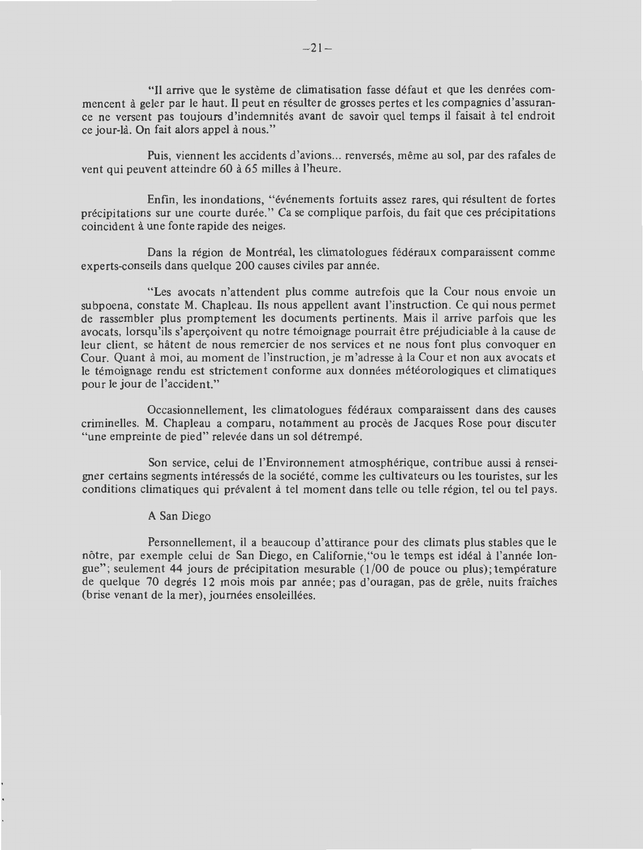"Il arrive que le systeme de climatisation fasse defaut et que les denrees commencent a geler par le haut. II peut en resulter de grosses pertes et Jes compagnies d'assurance ne versent pas toujours d'indemnités avant de savoir quel temps il faisait à tel endroit ce jour-là. On fait alors appel à nous."

Puis, viennent les accidents d'avions ... renversés, même au sol, par des rafales de vent qui peuvent atteindre 60 à 65 milles à l'heure.

Enfin, les inondations, "événements fortuits assez rares, qui résultent de fortes précipitations sur une courte durée." Ca se complique parfois, du fait que ces précipitations coincident a une fonte rapide des neiges.

Dans la région de Montréal, les climatologues fédéraux comparaissent comme experts-conseils dans quelque 200 causes civiles par annee.

"Les avocats n'attendent plus comme autrefois que la Cour nous envoie un subpoena, constate M. Chapleau. Ils nous appellent avant l'instruction. Ce qui nous permet de rassembler plus promptement les documents pertinents. Mais il arrive parfois que les avocats, lorsqu'ils s'apercoivent qu notre témoignage pourrait être préjudiciable à la cause de leur client, se hatent de nous remercier de nos services et ne nous font plus convoquer en Cour. Quant à moi, au moment de l'instruction, je m'adresse à la Cour et non aux avocats et le témoignage rendu est strictement conforme aux données météorologiques et climatiques pour le jour de l'accident."

Occasionnellement, les climatologues fédéraux comparaissent dans des causes criminelles. M. Chapleau a comparu, notatnment au proces de Jacques Rose pour discuter "une empreinte de pied" relevée dans un sol détrempé.

Son service, celui de !'Environnement atmospherique, contribue aussi a renseigner certains segments interesses de la societe, comme les cultivateurs ou Jes touristes, sur Jes conditions climatiques qui prévalent à tel moment dans telle ou telle région, tel ou tel pays.

#### A San Diego

Personnellement, ii a beaucoup d'attirance pour des climats plus stables que le nôtre, par exemple celui de San Diego, en Californie, "ou le temps est idéal à l'année longue"; seulement 44 jours de précipitation mesurable (1/00 de pouce ou plus); température de quelque 70 degres 12 mois mois par annee; pas d'ouragan, pas de grele, nuits fraiches (brise venant de la mer), journées ensoleillées.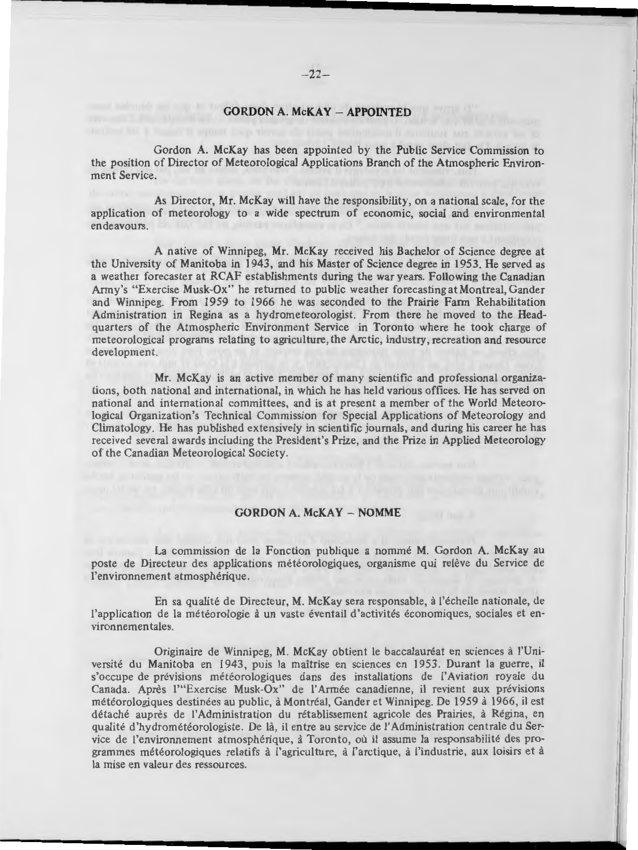# **GORDON A. McKAY -APPOINTED**

Gordon A. McKay has been appointed by the Public Service Commission to the position of Director of Meteorological Applications Branch of the Atmospheric Environment Service.

As Director, Mr. McKay will have the responsibility, on a national scale, for the application of meteorology to a wide spectrum of economic, social and environmental endeavours.

A native of Winnipeg, Mr. McKay received his Bachelor of Science degree at the University of Manitoba in 1943, and his Master of Science degree in 1953. He served as a weather forecaster at RCAF establishments during the war years. Following the Canadian Army's 'Exercise Musk-Ox" he returned to public weather forecasting at Montreal, Gander and Winnipeg. From 1959 to 1966 he was seconded to the Prairie Farm Rehabilitation Administration in Regina as a hydrometeorologist. From there he moved to the Headquarters of the Atmospheric Environment Service in Toronto where he took charge of meteorological programs relating to agriculture, the Arctic, industry, recreation and resource development.

Mr. McKay is an active member of many scientific and professional organizations, both national and international, in which he has held various offices. He has served on national and international committees, and is at present a member of the World Meteorological Organization's Technical Commission for Special Applications of Meteorology and Climatology. He has published extensively in scientific journals, and during his career he has received several awards including the President's Prize, and the Prize in Applied Meteorology of the Canadian Meteorological Society.

#### **GORDON A. McKAY - NOMME**

La commission de la Fonction publique a nommé M. Gordon A. McKay au poste de Directeur des applications meteorologiques, organisme qui releve du Service de l'environnement atmosphérique.

En sa qualité de Directeur, M. McKay sera responsable, à l'échelle nationale, de l'application de la météorologie à un vaste éventail d'activités économiques, sociales et environnementales.

Originaire de Winnipeg, M. McKay obtient le baccalauréat en sciences à l'Université du Manitoba en 1943, puis la maîtrise en sciences en 1953. Durant la guerre, il s'occupe de prévisions météorologiques dans des installations de l'Aviation royale du Canada. Après l'"Exercise Musk-Ox" de l'Armée canadienne, il revient aux prévisions météorologiques destinées au public, à Montréal, Gander et Winnipeg. De 1959 à 1966, il est détaché auprès de l'Administration du rétablissement agricole des Prairies, à Régina, en qualité d'hydrométéorologiste. De là, il entre au service de l'Administration centrale du Service de l'environnement atmosphérique, à Toronto, où il assume la responsabilité des programmes météorologiques relatifs à l'agriculture, à l'arctique, à l'industrie, aux loisirs et à la mise en valeur des ressources.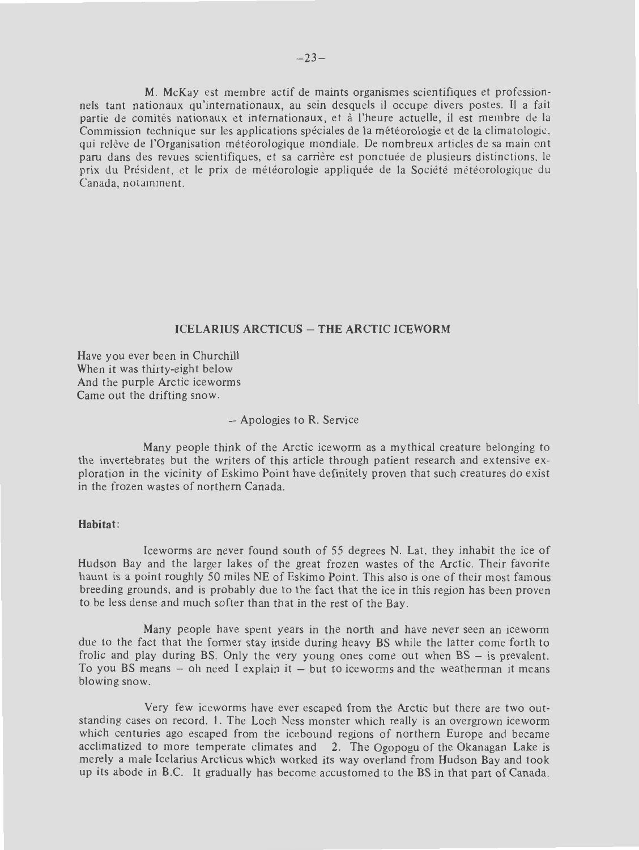**M.** McKay est membre actif de maints organismes scientifiques et professionnels tant nationaux qu'internationaux, au sein desquels il occupe divers postes. Il a fait partie de comites nationaux et internationaux, et a l'heure actuelle, ii est membre de la Commission technique sur les applications speciales de la meteorologie et de la climatologie, qui relève de l'Organisation météorologique mondiale. De nombreux articles de sa main ont paru dans des revues scientifiques, et sa carrière est ponctuée de plusieurs distinctions, le prix du Président, et le prix de météorologie appliquée de la Société météorologique du Canada, notamment.

# **ICELARIUS ARCTICUS - THE ARCTIC ICEWORM**

Have you ever been in Churchill When it was thirty-eight below And the purple Arctic iceworms Came out the drifting snow.

#### - Apologies to R. Service

Many people think of the Arctic iceworm as a mythical creature belonging to the invertebrates but the writers of this article through patient research and ex tensive exploration in the vicinity of Eskimo Point have definitely proven that such creatures do exist in the frozen wastes of northern Canada.

# **Habitat:**

lceworms are never found south of 55 degrees N. Lat. they inhabit the ice of Hudson Bay and the larger lakes of the great frozen wastes of the Arctic. Their favorite haunt is a point roughly 50 miles NE of Eskimo Point. This also is one of their most famous breeding grounds, and is probably due to the fact that the ice in this region has been proven to be less dense and much softer than that in the rest of the Bay.

Many people have spent years in the north and have never seen an iceworm due to the fact that the former stay inside during heavy BS while the latter come forth to frolic and play during BS. Only the very young ones come out when  $BS - is$  prevalent. To you BS means  $-$  oh need I explain it  $-$  but to iceworms and the weatherman it means blowing snow.

Very few iceworms have ever escaped from the Arctic but there are two outstanding cases on record. 1. The Loch Ness monster which really is an overgrown iceworm which centuries ago escaped from the icebound regions of northern Europe and became acclimatized to more temperate climates and 2. The Ogopogu of the Okanagan Lake is merely a male Icelarius Arcticus which worked its way overland from Hudson Bay and took up its abode in B.C. It gradually has become accustomed to the BS in that part of Canada.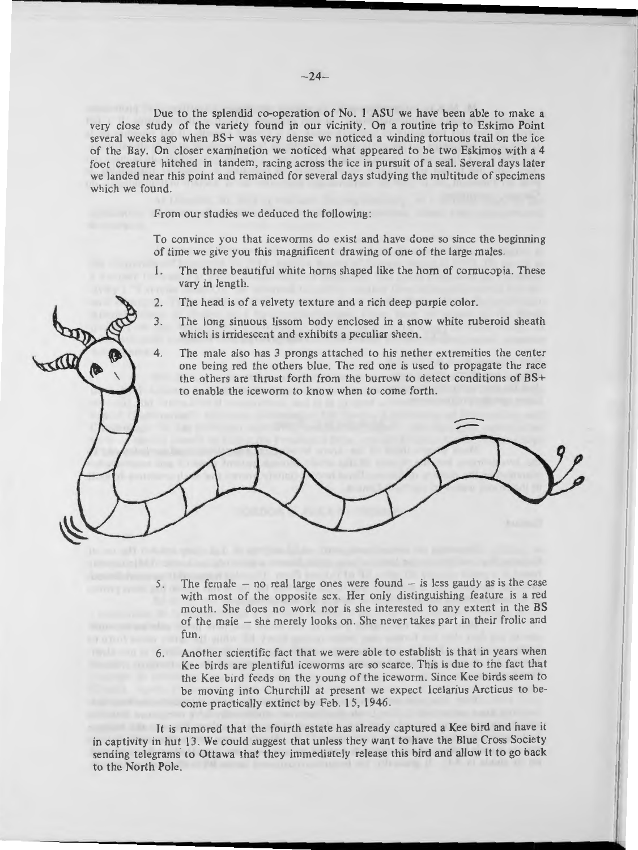Due to the splendid co-operation of No. I ASU we have been able to make a very close study of the variety found in our vicinity. On a routine trip to Eskimo Point several weeks ago when **BS+** was very dense we noticed a winding tortuous trail on the ice of the Bay. On closer examin ation we noticed what appeared to be two Eskimos with a 4 foot creature hitched in tandem, racing across the ice in pursuit of a seal. Several days later we landed near this point and remained for several days studying the multitude of specimens which we found.

From our studies we deduced the following:

To convince you that iceworms do exist and have done so since the beginning of time we give you this magnificent drawing of one of the large males.

- I. The three beautiful white horns shaped like the horn of cornucopia. These vary in length.
- 2. The head is of a velvety tex ture and a rich deep purple color.
- 3. The long sinuous lissom body enclosed in a snow white ruberoid sheath which is irridescent and exhibits a peculiar sheen.
- 4. The male also has 3 prongs attached to his nether extremities the center one being red the others blue. The red one is used to propagate the race the others are thrust forth from the burrow to detect conditions of BS+ to enable the iceworm to know when to come forth.

- 5. The female  $-$  no real large ones were found  $-$  is less gaudy as is the case with most of the opposite sex. Her only distinguishing feature is a red mouth. She does no work nor is she interested to any extent in the BS of the male - she merely looks on. She never takes part in their frolic and fun.
- 6. Another scientific fact that we were able to establish is that in years when Kee birds are plentiful iceworms are so scarce. This is due to the fact that the Kee bird feeds on the young of the iceworm. Since Kee birds seem to be moving into Churchill at present we expect Icelarius Arcticus to become practically extinct by Feb. 15, 1946.

It is rumored that the fourth estate has already captured a Kee bird and have it in captivity in hut 13. We could suggest that unless they want to have the Blue Cross Society sending telegrams to Ottawa that they immediately release this bird and allow it to go back to the North Pole.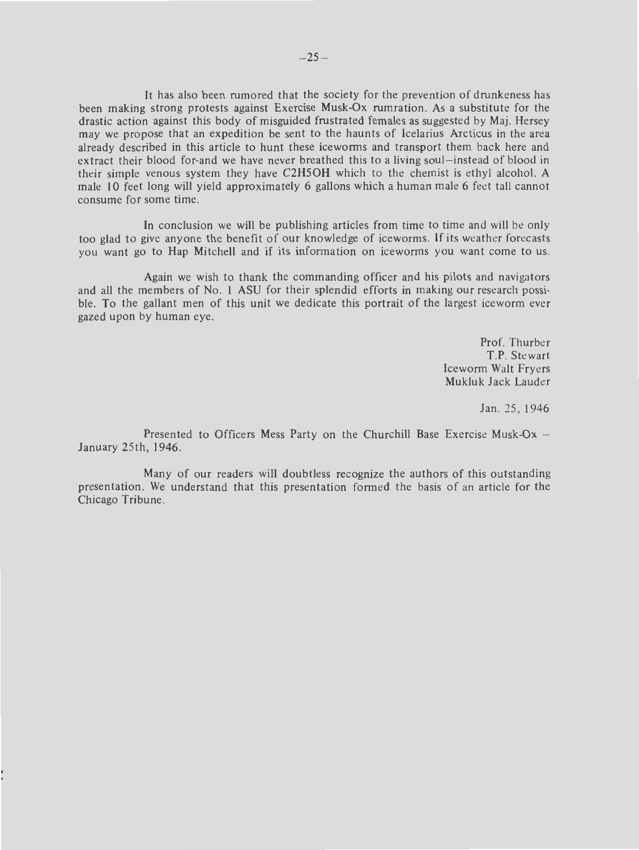It has also been rumored that the society for the prevention of drunkeness has been making strong protests against Exercise Musk-Ox rumration . As a substitute for the drastic action against this body of misguided frustrated females as suggested by Maj. Hersey may we propose that an expedition be sent to the haunts of Icelarius Arcticus in the area already described in this article to hunt these iceworms and transport them back here and extract their blood for-and we have never breathed this to a living soul-instead of blood in their simple venous system they have C2H5OH which to the chemist is ethyl alcohol. A male IO feet long will yield approximately 6 gallons which a human male 6 feet tall cannot consume for some time.

In conclusion we will be publishing articles from time to time and will be only too glad to give anyone the benefit of our knowledge of iceworms. If its weather forecasts you want go to Hap Mitchell and if its information on iceworms you want come to us.

Again we wish to thank the commanding officer and his pilots and navigators and all the members of No. I ASU for their splendid efforts in making our research possible. To the gallant men of this unit we dedicate this portrait of the largest iceworm ever gazed upon by human eye.

> Prof. Thurber T.P. Stewart Iceworm Walt Fryers Mukluk Jack Lauder

> > Jan. 25, 1946

Presented to Officers Mess Party on the Churchill Base Exercise Musk-Ox  $-$ January 25th, 1946.

Many of our readers will doubtless recognize the authors of this outstanding presentation. We understand that this presentation formed the basis of an article for the Chicago Tribune.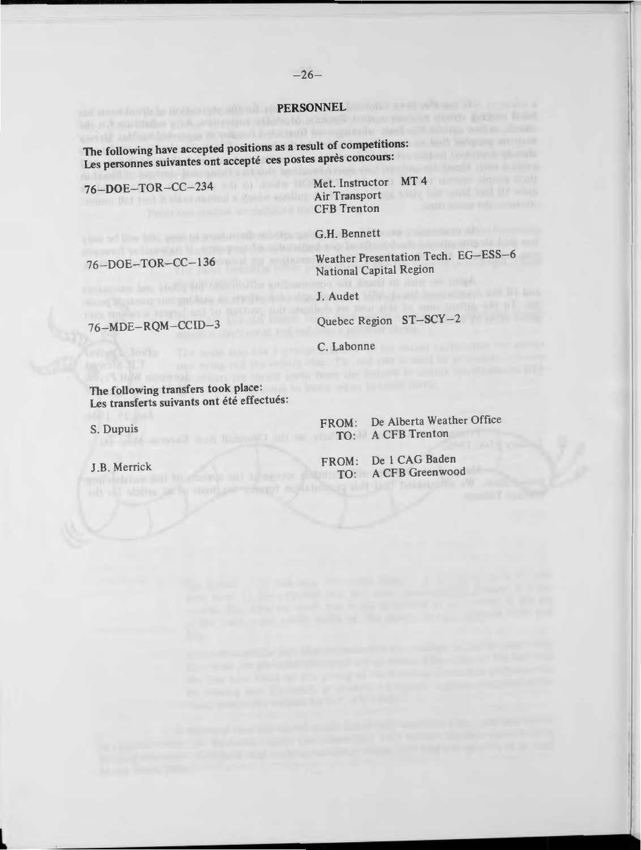**PERSONNEL Example 2008** The following have accepted positions as a result of competitions: Les personnes suivantes ont accepté ces postes après concours:

76-DOE- TOR- CC- 234 Met. Instructor **MT** 4 Air Transport and the state of the state of the state of the state of the state of the state of the state of the state of the state of the state of the state of the state of the state of the state of the state of the state CFB Trenton

G.H. Bennett

76- DOE- TOR- CC- l 36

Weather Presentation Tech. EG-ESS-6 National Capital Region

J. Audet

Quebec Region ST-SCY-2

76-MDE-RQM-CCID-3

C. Labonne

The following transfers took place: Les transferts suivants ont été effectués:

S. Dupuis

**L** 

J.B. Merrick

FROM: De Alberta Weather Office TO: A CFB Trenton

FROM: De 1 CAG Baden TO: A CFB Greenwood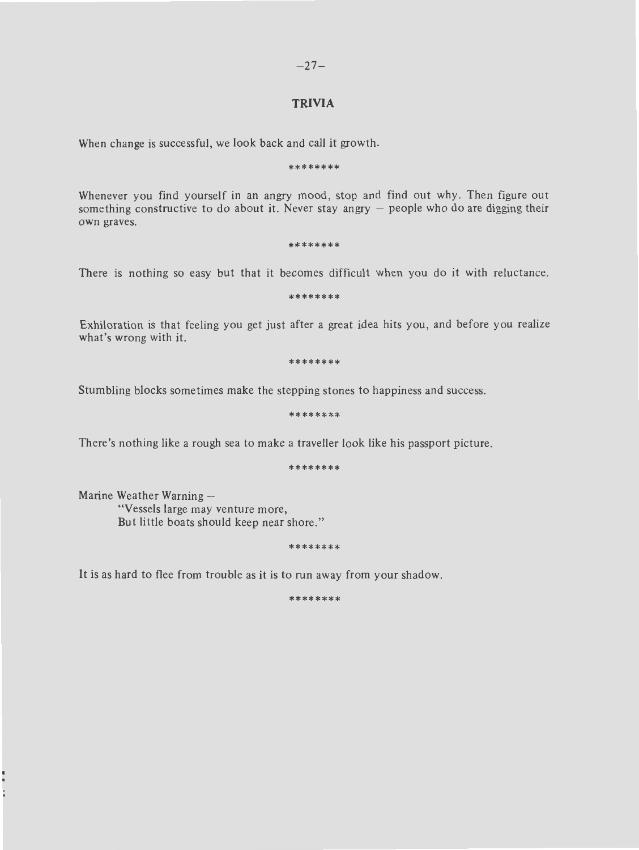# **TRIVIA**

When change is successful, we look back and call it growth.

#### \*\*\*\*\*\*\*\*

Whenever you find yourself in an angry mood, stop and find out why. Then figure out something constructive to do about it. Never stay angry  $-$  people who do are digging their own graves.

#### \*\*\*\*\*\*\*\*

There is nothing so easy but that it becomes difficult when you do it with reluctance.

\*\*\* \*\*\*\*\*

Exhiloration is that feeling you get just after a great idea hits you, and before you realize what's wrong with it.

\*\*\*\*\*\*\*\*

Stumbling blocks sometimes make the stepping stones to happiness and success.

\*\*\*\*\*\*\*\*

There's nothing like a rough sea to make a traveller look like his passport picture.

\*\*\*\*\*\*\*\*

Marine Weather Warning  $-$ "Vessels large may venture more, But little boats should keep near shore."

\*\*\*\*\*\*\*\*

It is as hard to flee from trouble as it is to run away from your shadow.

\*\*\*\*\*\*\*\*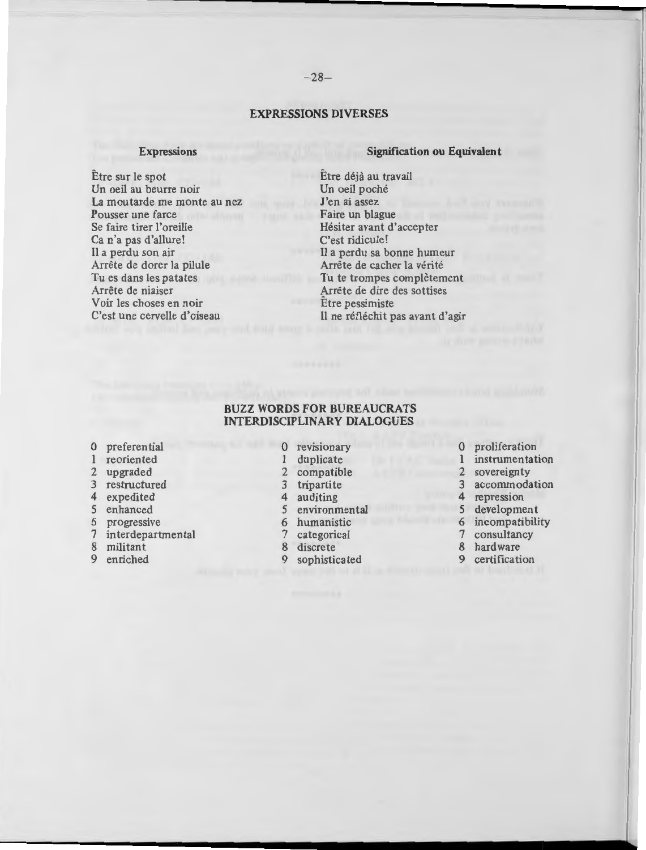# **EXPRESSIONS DIVERSES**

#### **Expressions**

Etre sur le spot Un oeil au beurre noir La moutarde me monte au nez Pousser une farce Se faire tirer l'oreille Ca n'a pas d'allure! **<sup>11</sup>**a perdu son air Arrete de dorer la pilule Tu es dans les patates Arrête de niaiser Voir les choses en noir C'est une cervelle d'oiseau

#### **Signification ou Equivalent**

Etre deja au travail Un oeil poché J'en ai assez Faire un blague Hesiter avant d'accepter  $C$ 'est ridicule! II a perdu sa bonne humeur Arrête de cacher la vérité Tu te trompes complètement Arrete de dire des sottises Etre pessimiste Il ne réfléchit pas avant d'agir

# **BUZZ WORDS FOR BUREAUCRATS INTERDISCIPLINARY DIALOGUES**

- 
- 
- 
- 
- 
- 
- 
- 7 interdepartmental 7 categorical 7 consultant 7 consultant 8 militant 8 hardware
- 
- 
- 
- 
- 2 upgraded 2 compatible 2 somewhat compatible 2 somewhat compatible 2 source 2 source 2 source 2 source 2 source 2 source 2 source 2 source 2 source 2 source 2 source 2 source 2 source 2 source 2 source 2 source 2 source 2
	-
	-
- 5 enhanced 5 environmental<br>6 progressive 6 humanistic
	-
	-
	-
- 8 militant 8 discrete 8 hardware 8 hardware 8 hardware 8 hardware 8 hardware 8 hardware 8 hardware 9 centrication 9 sophisticated
- 0 preferential 0 revisionary 0 proliferation 0 production 0 production 0 production 0 production 0 production 0 production 0 production 0 production 0 production 0 production 0 production 0 production 0 production 0 produc
	- 1 duplicate 1 instrumentation<br>2 compatible 2 sovereignty
		-
	- 3 tripartite 3 accommodation<br>4 auditing 4 accommodation
		-
- 4 expedited 4 auditing 4 auditing 4 repression<br>5 enhanced 5 environmental 5 development
	- 6 humanistic 6 incompatibility<br>
	7 categorical 1 7 consultancy
		-
		-
		-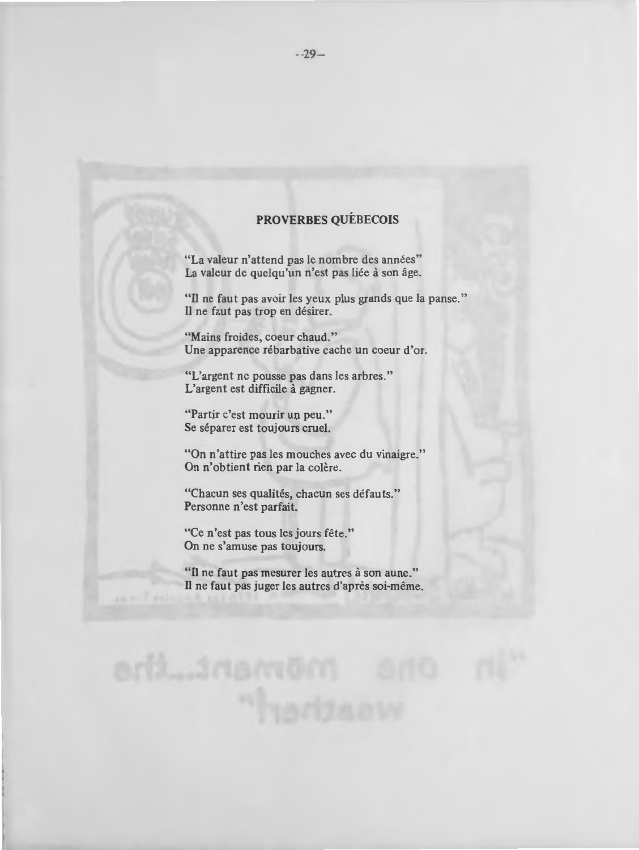# **PROVERBES QUEBECOIS**

"La valeur n'attend pas le nombre des années" La valeur de quelqu'un n'est pas liée à son âge.

"Il ne faut pas avoir les yeux plus grands que la panse." Il ne faut pas trop en désirer.

**"Mains** froides, coeur chaud." Une apparence rébarbative cache un coeur d'or.

"L'argent ne pousse pas dans les arbres." L'argent est difficile à gagner.

"Partir c'est mourir un peu." Se séparer est toujours cruel.

"On n'attire pas les mouches avec du vinaigre." On n'obtient rien par la colère.

"Chacun ses qualités, chacun ses défauts." Personne n'est parfait.

"Ce n'est pas tous les jours fête." On ne s'amuse pas toujours.

"Il ne faut pas mesurer les autres à son aune." Il ne faut pas juger les autres d'après soi-même.